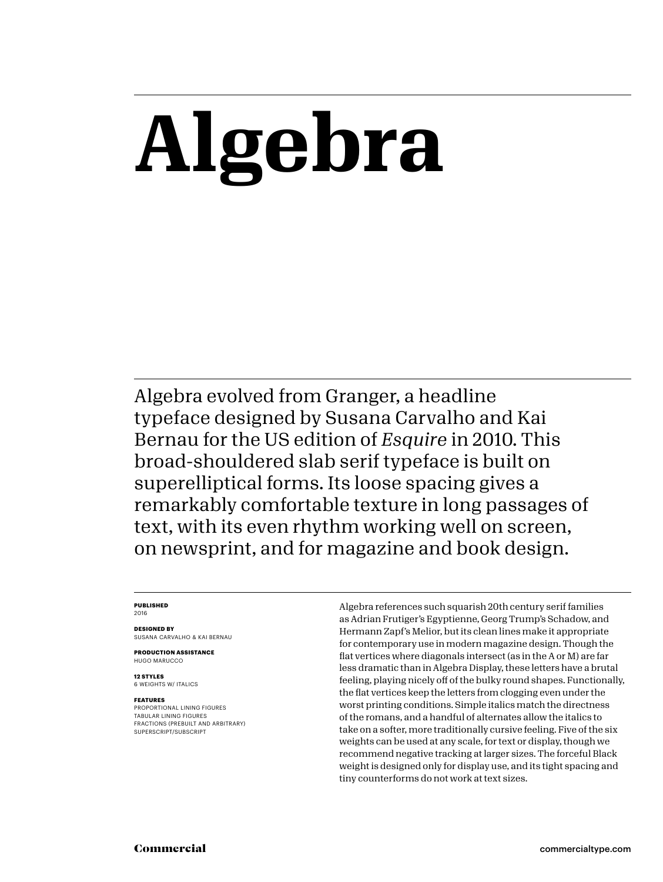# **Algebra**

Algebra evolved from Granger, a headline typeface designed by Susana Carvalho and Kai Bernau for the US edition of *Esquire* in 2010. This broad-shouldered slab serif typeface is built on superelliptical forms. Its loose spacing gives a remarkably comfortable texture in long passages of text, with its even rhythm working well on screen, on newsprint, and for magazine and book design.

### **PUBLISHED** 2016

**DESIGNED BY** SUSANA CARVALHO & KAI BERNAU

**PRODUCTION ASSISTANCE** HUGO MARUCCO

**12 STYLES** 6 WEIGHTS W/ ITALICS

### **FEATURES**

PROPORTIONAL LINING FIGURES TABULAR LINING FIGURES FRACTIONS (PREBUILT AND ARBITRARY) SUPERSCRIPT/SUBSCRIPT

Algebra references such squarish 20th century serif families as Adrian Frutiger's Egyptienne, Georg Trump's Schadow, and Hermann Zapf's Melior, but its clean lines make it appropriate for contemporary use in modern magazine design. Though the flat vertices where diagonals intersect (as in the A or M) are far less dramatic than in Algebra Display, these letters have a brutal feeling, playing nicely off of the bulky round shapes. Functionally, the flat vertices keep the letters from clogging even under the worst printing conditions. Simple italics match the directness of the romans, and a handful of alternates allow the italics to take on a softer, more traditionally cursive feeling. Five of the six weights can be used at any scale, for text or display, though we recommend negative tracking at larger sizes. The forceful Black weight is designed only for display use, and its tight spacing and tiny counterforms do not work at text sizes.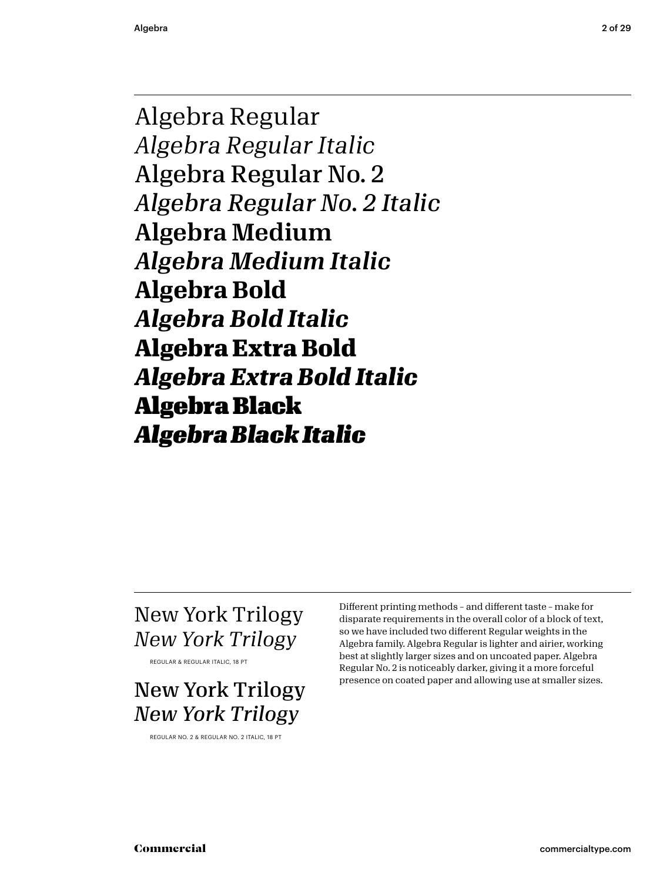Algebra Regular *Algebra Regular Italic* Algebra Regular No. 2 *Algebra Regular No. 2 Italic* Algebra Medium *Algebra Medium Italic* **Algebra Bold** *Algebra Bold Italic* **Algebra Extra Bold** *Algebra Extra Bold Italic* Algebra Black *Algebra Black Italic*

### New York Trilogy *New York Trilogy*

REGULAR & REGULAR ITALIC, 18 PT

New York Trilogy *New York Trilogy*

REGULAR NO. 2 & REGULAR NO. 2 ITALIC, 18 PT

Different printing methods – and different taste – make for disparate requirements in the overall color of a block of text, so we have included two different Regular weights in the Algebra family. Algebra Regular is lighter and airier, working best at slightly larger sizes and on uncoated paper. Algebra Regular No. 2 is noticeably darker, giving it a more forceful presence on coated paper and allowing use at smaller sizes.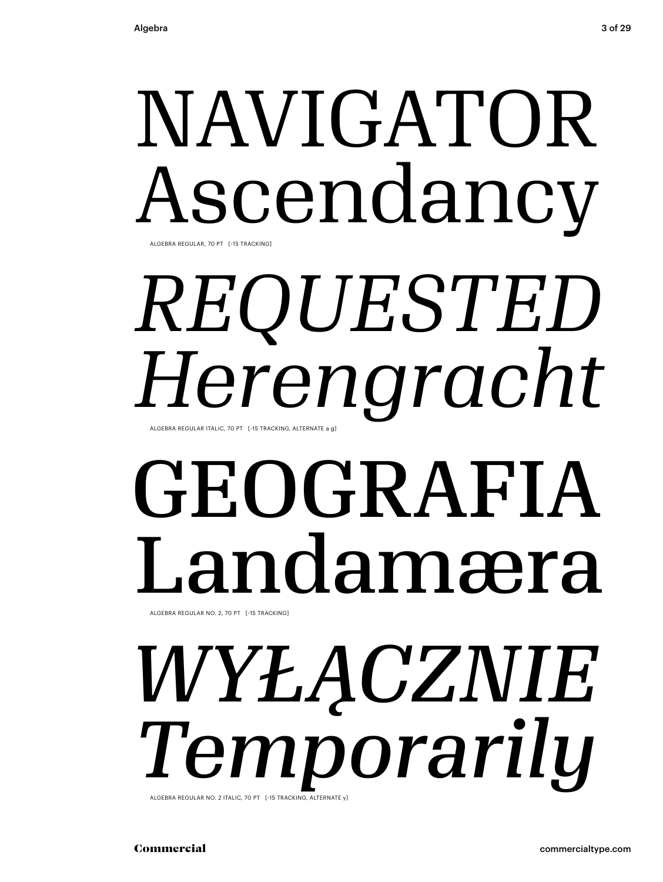# NAVIGATOR Ascendancy

ALGEBRA REGULAR, 70 PT [-15 TRACKING]

### ALGEBRA REGULAR ITALIC, 70 PT [-15 TRACKING, ALTERNATE a g] *REQUESTED Herengracht*

# GEOGRAFIA Landamæra

ALGEBRA REGULAR NO. 2, 70 PT [-15 TRACKING]

### ALGEBRA REGULAR NO. 2 ITALIC, 70 PT [-15 TRACKING, ALTERNATE y] *WYŁĄCZNIE Temporarily*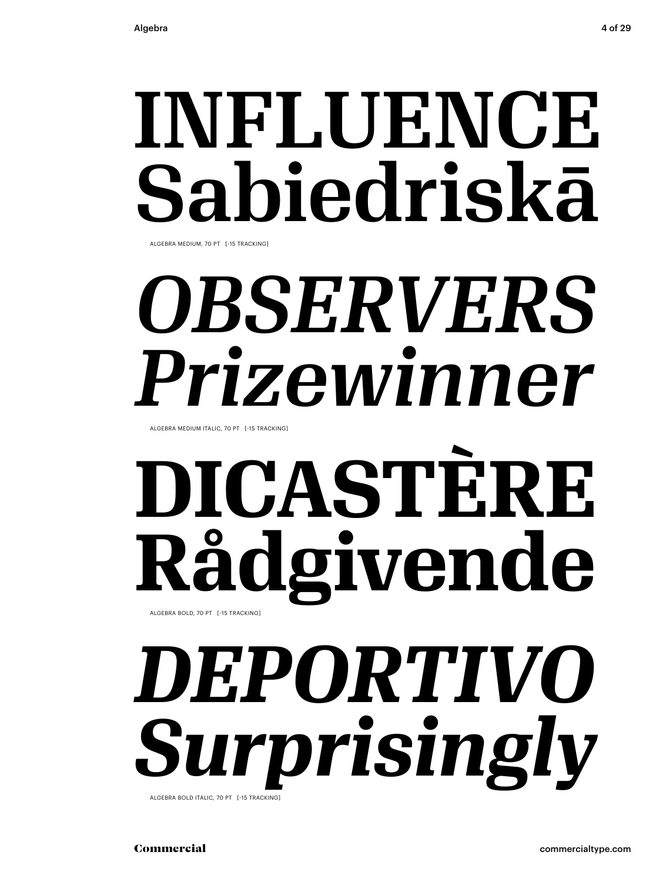## INFLUENCE Sabiedriskā

ALGEBRA MEDIUM, 70 PT [-15 TRACKING]

## *OBSERVERS Prizewinner*

ALGEBRA MEDIUM ITALIC, 70 PT [-15 TRACKING]

### **DICASTÈRE Rådgivende** ALGEBRA BOLD, 70 PT [-15 TRACKING]

### *DEPORTIVO urprisingly* ALGEBRA BOLD ITALIC, 70 PT [-15 TRACKING]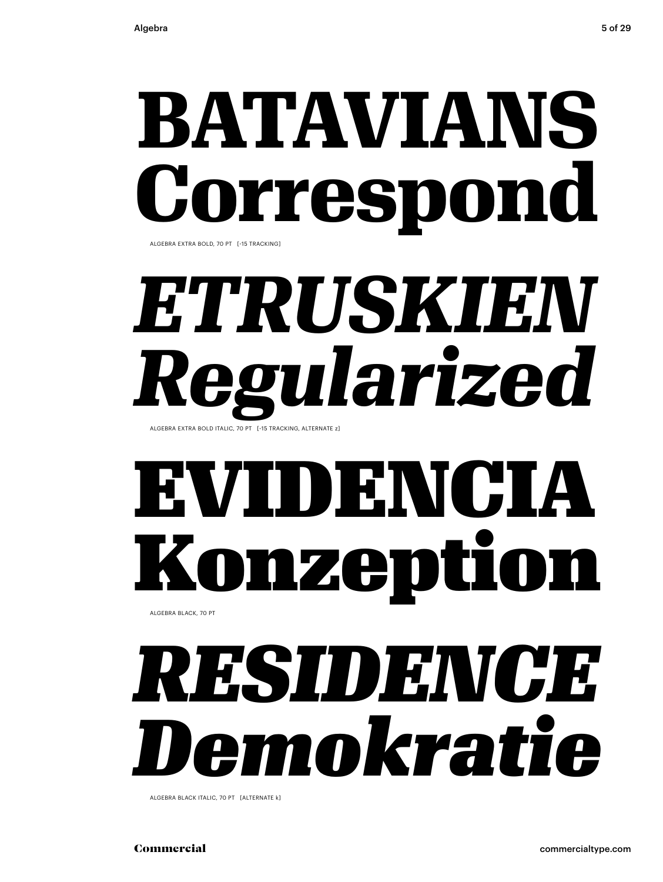# **BATAVIANS respon**

ALGEBRA EXTRA BOLD, 70 PT [-15 TRACKING]

### *ETRUSKIEN Regularized* ALGEBRA EXTRA BOLD ITALIC, 70 PT [-15 TRACKING, ALTERNATE z]

## EVIDENCIA nzepti

ALGEBRA BLACK, 70 PT

## *RESIDENCE Demokratie*

ALGEBRA BLACK ITALIC, 70 PT [ALTERNATE k]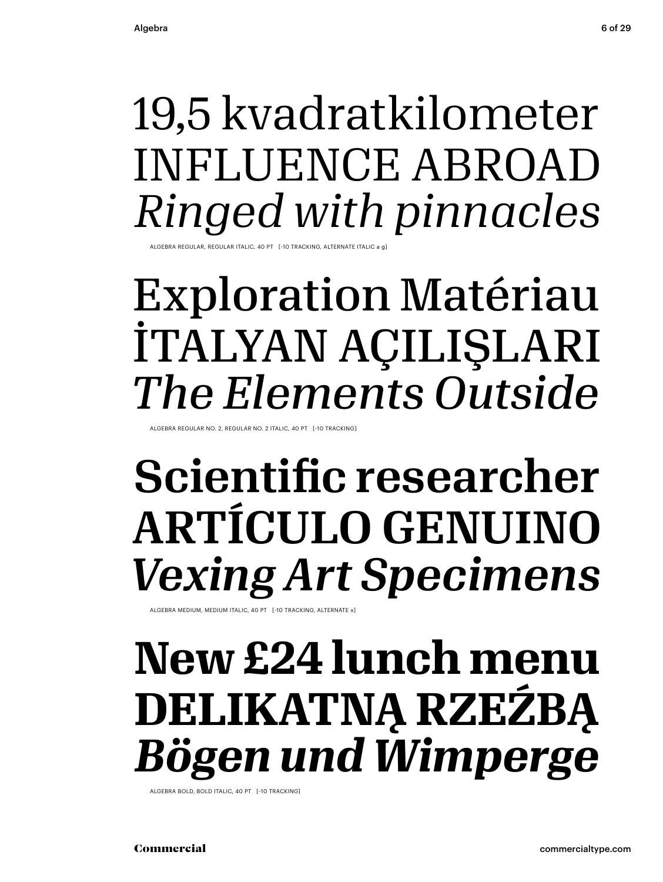### 19,5 kvadratkilometer INFLUENCE ABROAD *Ringed with pinnacles*

ALGEBRA REGULAR, REGULAR ITALIC, 40 PT [-10 TRACKING, ALTERNATE ITALIC a g]

### Exploration Matériau İTALYAN AÇILIŞLARI *The Elements Outside*

LGEBRA REGULAR NO. 2, REGULAR NO. 2 ITALIC, 40 PT [-10 TRACKING]

### Scientific researcher ARTÍCULO GENUINO *Vexing Art Specimens*

ALGEBRA MEDIUM, MEDIUM ITALIC, 40 PT [-10 TRACKING, ALTERNATE x]

### **New £24 lunch menu DELIKATNĄ RZEŹBĄ** *Bögen und Wimperge*

ALGEBRA BOLD, BOLD ITALIC, 40 PT [-10 TRACKING]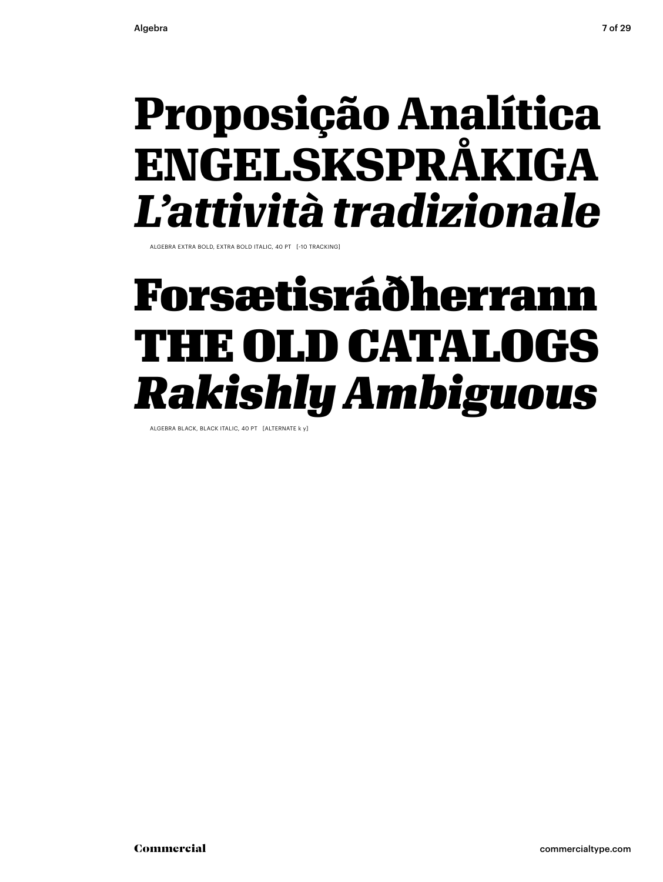### **Proposição Analítica ENGELSKSPRÅKIGA** *L'attività tradizionale*

ALGEBRA EXTRA BOLD, EXTRA BOLD ITALIC, 40 PT [-10 TRACKING]

### Forsætisráðherrann THE OLD CATALOGS *Rakishly Ambiguous*

ALGEBRA BLACK, BLACK ITALIC, 40 PT [ALTERNATE k y]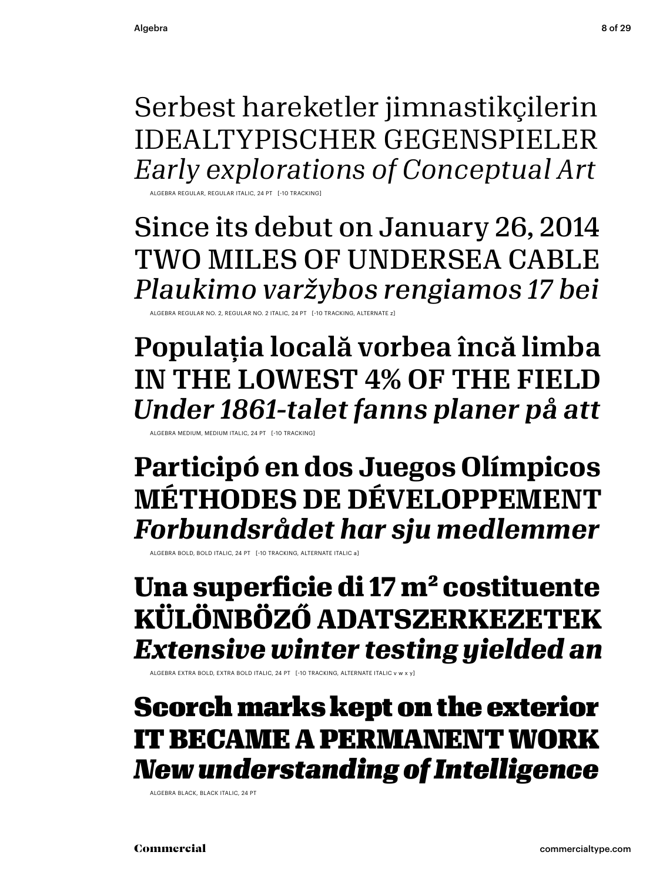Serbest hareketler jimnastikçilerin IDEALTYPISCHER GEGENSPIELER *Early explorations of Conceptual Art*

ALGEBRA REGULAR, REGULAR ITALIC, 24 PT [-10 TRACKING]

Since its debut on January 26, 2014 TWO MILES OF UNDERSEA CABLE *Plaukimo varžybos rengiamos 17 bei*

ALGEBRA REGULAR NO. 2, REGULAR NO. 2 ITALIC, 24 PT [-10 TRACKING, ALTERNATE z]

Populația locală vorbea încă limba IN THE LOWEST 4% OF THE FIELD *Under 1861-talet fanns planer på att*

ALGEBRA MEDIUM, MEDIUM ITALIC, 24 PT [-10 TRACKING]

**Participó en dos Juegos Olímpicos MÉTHODES DE DÉVELOPPEMENT** *Forbundsrådet har sju medlemmer*

ALGEBRA BOLD, BOLD ITALIC, 24 PT [-10 TRACKING, ALTERNATE ITALIC a]

**Una superficie di 17 m² costituente KÜLÖNBÖZŐ ADATSZERKEZETEK** *Extensive winter testing yielded an* 

ALGEBRA EXTRA BOLD, EXTRA BOLD ITALIC, 24 PT [-10 TRACKING, ALTERNATE ITALIC v w x y]

### Scorch marks kept on the exterior IT BECAME A PERMANENT WORK *New understanding of Intelligence*

ALGEBRA BLACK, BLACK ITALIC, 24 PT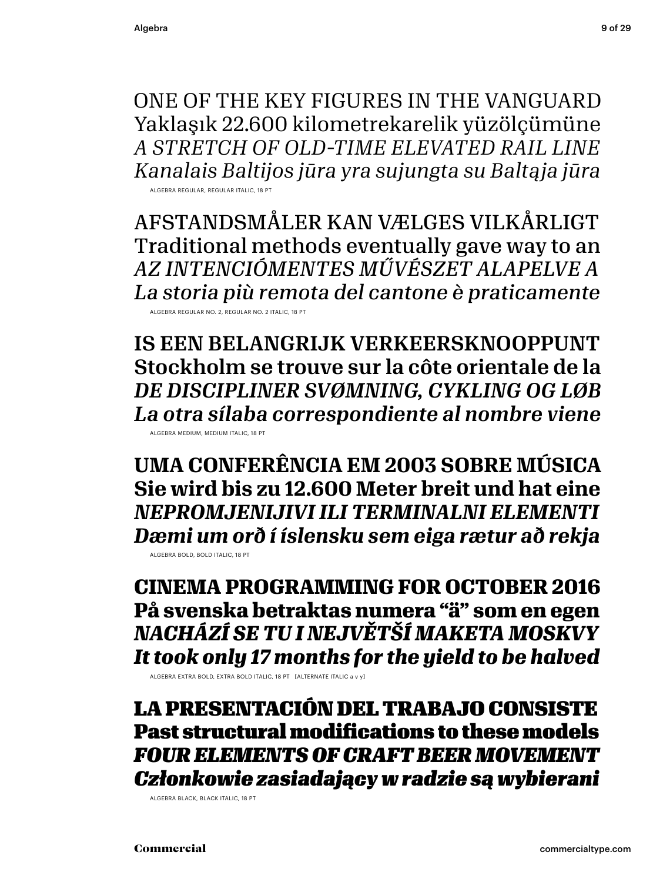ONE OF THE KEY FIGURES IN THE VANGUARD Yaklaşık 22.600 kilometrekarelik yüzölçümüne *A STRETCH OF OLD-TIME ELEVATED RAIL LINE Kanalais Baltijos jūra yra sujungta su Baltąja jūra*

ALGEBRA REGULAR, REGULAR ITALIC, 18 PT

AFSTANDSMÅLER KAN VÆLGES VILKÅRLIGT Traditional methods eventually gave way to an *AZ INTENCIÓMENTES MŰVÉSZET ALAPELVE A La storia più remota del cantone è praticamente* ALGEBRA REGULAR NO. 2, REGULAR NO. 2 ITALIC, 18 PT

IS EEN BELANGRIJK VERKEERSKNOOPPUNT Stockholm se trouve sur la côte orientale de la *DE DISCIPLINER SVØMNING, CYKLING OG LØB La otra sílaba correspondiente al nombre viene*

ALGEBRA MEDIUM, MEDIUM ITALIC, 18 PT

**UMA CONFERÊNCIA EM 2003 SOBRE MÚSICA Sie wird bis zu 12.600 Meter breit und hat eine** *NEPROMJENIJIVI ILI TERMINALNI ELEMENTI Dæmi um orð í íslensku sem eiga rætur að rekja* ALGEBRA BOLD, BOLD ITALIC, 18 PT

**CINEMA PROGRAMMING FOR OCTOBER 2016 På svenska betraktas numera "ä" som en egen** *NACHÁZÍ SE TU I NEJVĚTŠÍ MAKETA MOSKVY It took only 17 months for the yield to be halved*

ALGEBRA EXTRA BOLD, EXTRA BOLD ITALIC, 18 PT [ALTERNATE ITALIC a v y]

LA PRESENTACIÓN DEL TRABAJO CONSISTE Past structural modifications to these models *FOUR ELEMENTS OF CRAFT BEER MOVEMENT Członkowie zasiadający w radzie są wybierani*

ALGEBRA BLACK, BLACK ITALIC, 18 PT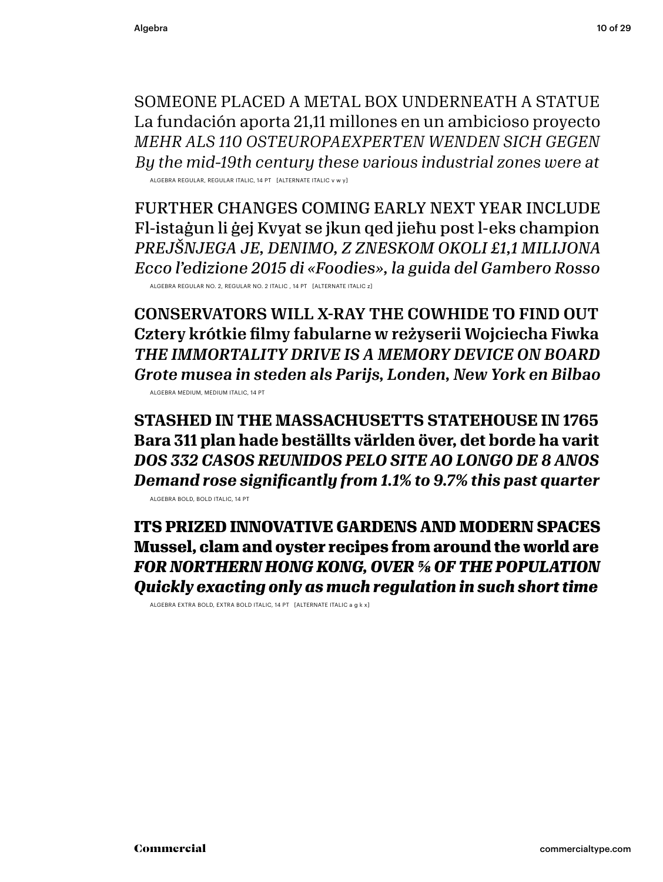SOMEONE PLACED A METAL BOX UNDERNEATH A STATUE La fundación aporta 21,11 millones en un ambicioso proyecto *MEHR ALS 110 OSTEUROPAEXPERTEN WENDEN SICH GEGEN By the mid-19th century these various industrial zones were at*

ALGEBRA REGULAR, REGULAR ITALIC, 14 PT [ALTERNATE ITALIC v w y]

FURTHER CHANGES COMING EARLY NEXT YEAR INCLUDE Fl-istaġun li ġej Kvyat se jkun qed jieħu post l-eks champion *PREJŠNJEGA JE, DENIMO, Z ZNESKOM OKOLI £1,1 MILIJONA Ecco l'edizione 2015 di «Foodies», la guida del Gambero Rosso*

ALGEBRA REGULAR NO. 2, REGULAR NO. 2 ITALIC , 14 PT [ALTERNATE ITALIC z]

CONSERVATORS WILL X-RAY THE COWHIDE TO FIND OUT Cztery krótkie filmy fabularne w reżyserii Wojciecha Fiwka *THE IMMORTALITY DRIVE IS A MEMORY DEVICE ON BOARD Grote musea in steden als Parijs, Londen, New York en Bilbao* ALGEBRA MEDIUM, MEDIUM ITALIC, 14 PT

**STASHED IN THE MASSACHUSETTS STATEHOUSE IN 1765 Bara 311 plan hade beställts världen över, det borde ha varit** *DOS 332 CASOS REUNIDOS PELO SITE AO LONGO DE 8 ANOS Demand rose significantly from 1.1% to 9.7% this past quarter*

ALGEBRA BOLD, BOLD ITALIC, 14 PT

**ITS PRIZED INNOVATIVE GARDENS AND MODERN SPACES Mussel, clam and oyster recipes from around the world are** *FOR NORTHERN HONG KONG, OVER 5/8 OF THE POPULATION Quickly exacting only as much regulation in such short time*

ALGEBRA EXTRA BOLD, EXTRA BOLD ITALIC, 14 PT [ALTERNATE ITALIC a g k x]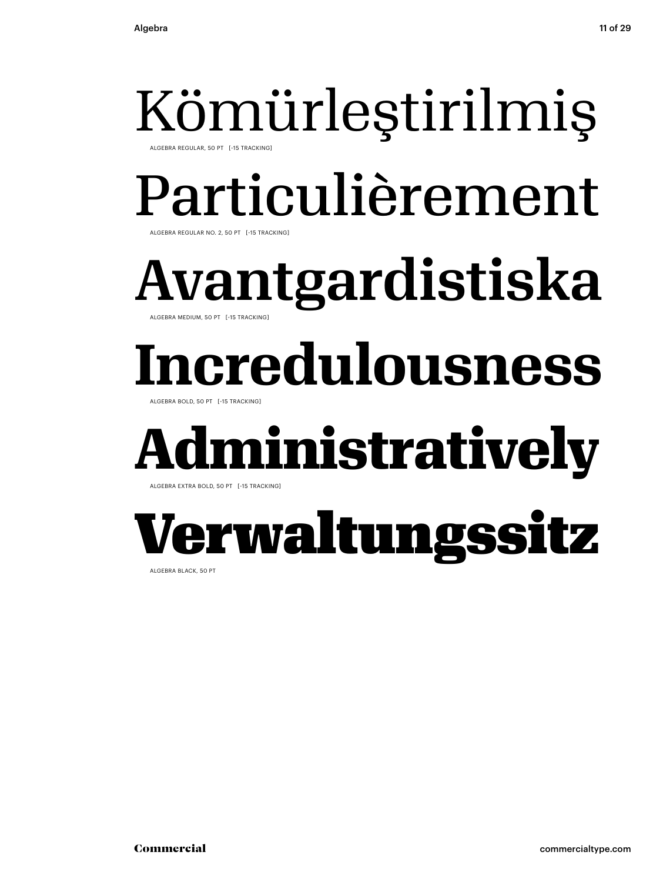ALGEBRA REGULAR, 50 PT [-15 TRACKING]

## Particulièrement

ALGEBRA REGULAR NO. 2, 50 PT [-15 TRACKING]

Avantgardistiska ALGEBRA MEDIUM, 50 PT [-15 TRACKING]

## **Incredulousness**

ALGEBRA BOLD, 50 PT [-15 TRACKING]

## **diministratively**

ALGEBRA EXTRA BOLD, 50 PT [-15 TRACKING]

## Verwaltungssitz

ALGEBRA BLACK, 50 PT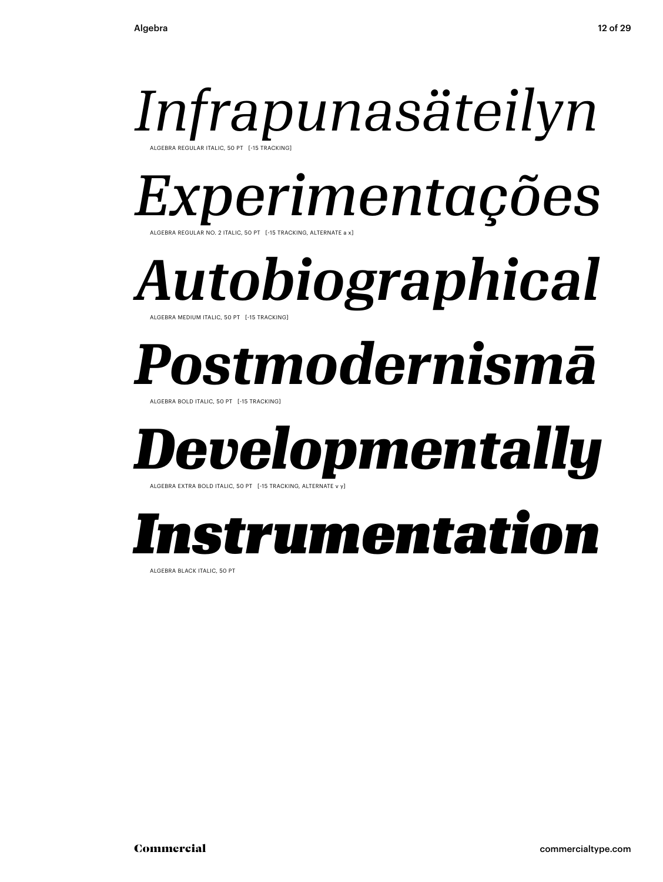### *Infrapunasäteilyn* ALGEBRA REGULAR ITALIC, 50 PT [-15 TRACKING]

*Experimentações*

**FRACKING, ALTERNATE a x** 

*Autobiographical* ALGEBRA MEDIUM ITALIC, 50 PT [-15 TRACKING]

## *Postmodernismā*

ALGEBRA BOLD ITALIC, 50 PT [-15 TRACKING]

## *Developmentally*

ALGEBRA EXTRA BOLD ITALIC, 50 PT [-15 TRACKING, ALTERNAT

## *Instrumentation*

ALGEBRA BLACK ITALIC, 50 PT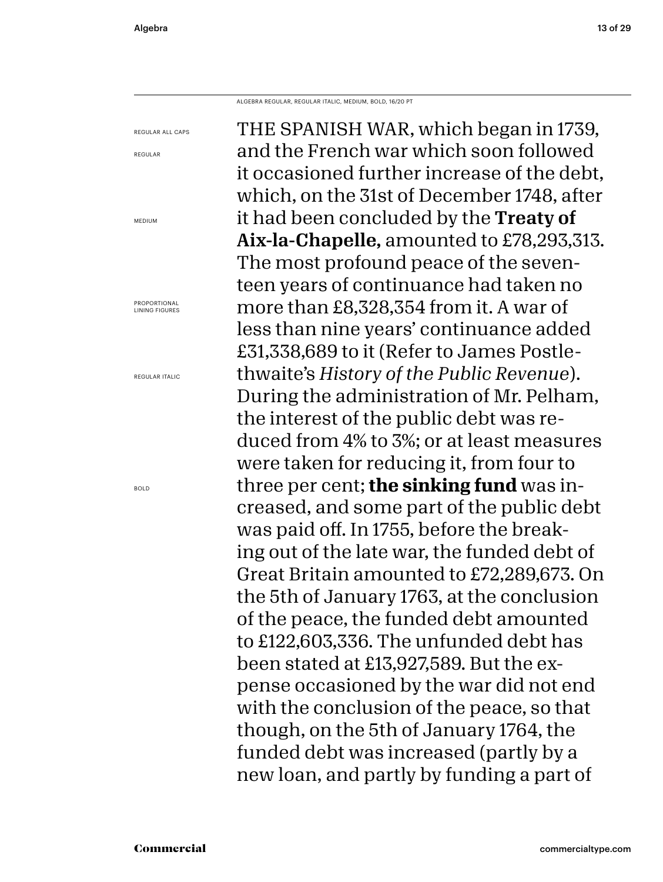ALGEBRA REGULAR, REGULAR ITALIC, MEDIUM, BOLD, 16/20 PT

THE SPANISH WAR, which began in 1739, and the French war which soon followed it occasioned further increase of the debt, which, on the 31st of December 1748, after it had been concluded by the Treaty of Aix-la-Chapelle, amounted to £78,293,313. The most profound peace of the seventeen years of continuance had taken no more than £8,328,354 from it. A war of less than nine years' continuance added £31,338,689 to it (Refer to James Postlethwaite's *History of the Public Revenue*). During the administration of Mr. Pelham, the interest of the public debt was reduced from 4% to 3%; or at least measures were taken for reducing it, from four to three per cent; **the sinking fund** was increased, and some part of the public debt was paid off. In 1755, before the breaking out of the late war, the funded debt of Great Britain amounted to £72,289,673. On the 5th of January 1763, at the conclusion of the peace, the funded debt amounted to £122,603,336. The unfunded debt has been stated at £13,927,589. But the expense occasioned by the war did not end with the conclusion of the peace, so that though, on the 5th of January 1764, the funded debt was increased (partly by a new loan, and partly by funding a part of REGULAR ALL CAPS

MEDIUM

REGULAR

PROPORTIONAL LINING FIGURES

REGULAR ITALIC

BOLD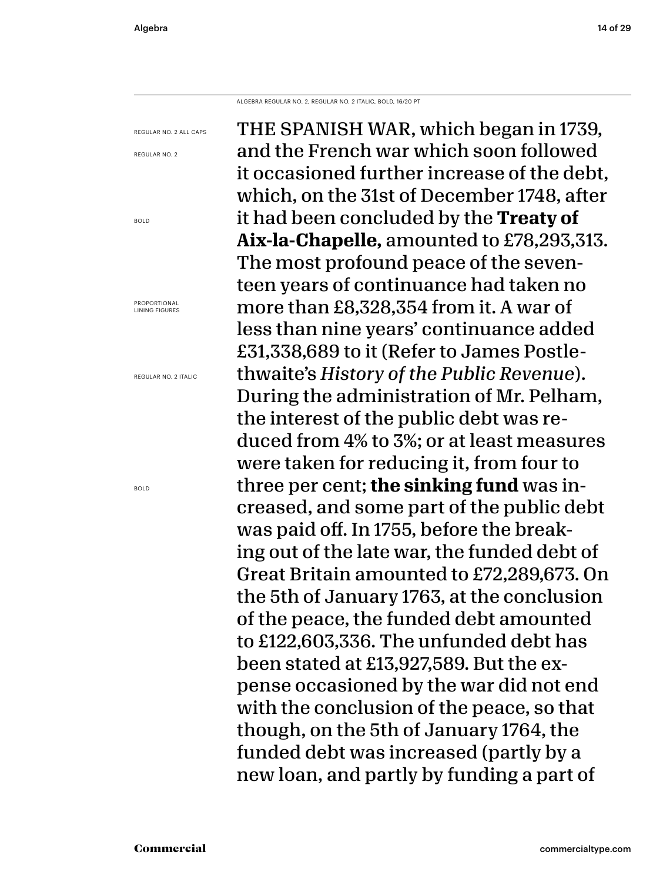REGULAR NO. 2

BOLD

ALGEBRA REGULAR NO. 2, REGULAR NO. 2 ITALIC, BOLD, 16/20 PT

THE SPANISH WAR, which began in 1739, and the French war which soon followed it occasioned further increase of the debt, which, on the 31st of December 1748, after it had been concluded by the **Treaty of Aix-la-Chapelle,** amounted to £78,293,313. The most profound peace of the seventeen years of continuance had taken no more than £8,328,354 from it. A war of less than nine years' continuance added £31,338,689 to it (Refer to James Postlethwaite's *History of the Public Revenue*). During the administration of Mr. Pelham, the interest of the public debt was reduced from 4% to 3%; or at least measures were taken for reducing it, from four to three per cent; **the sinking fund** was increased, and some part of the public debt was paid off. In 1755, before the breaking out of the late war, the funded debt of Great Britain amounted to £72,289,673. On the 5th of January 1763, at the conclusion of the peace, the funded debt amounted to £122,603,336. The unfunded debt has been stated at £13,927,589. But the expense occasioned by the war did not end with the conclusion of the peace, so that though, on the 5th of January 1764, the funded debt was increased (partly by a new loan, and partly by funding a part of REGULAR NO. 2 ALL CAPS REGULAR NO. 2 ITALIC

PROPORTIONAL LINING FIGURES

BOLD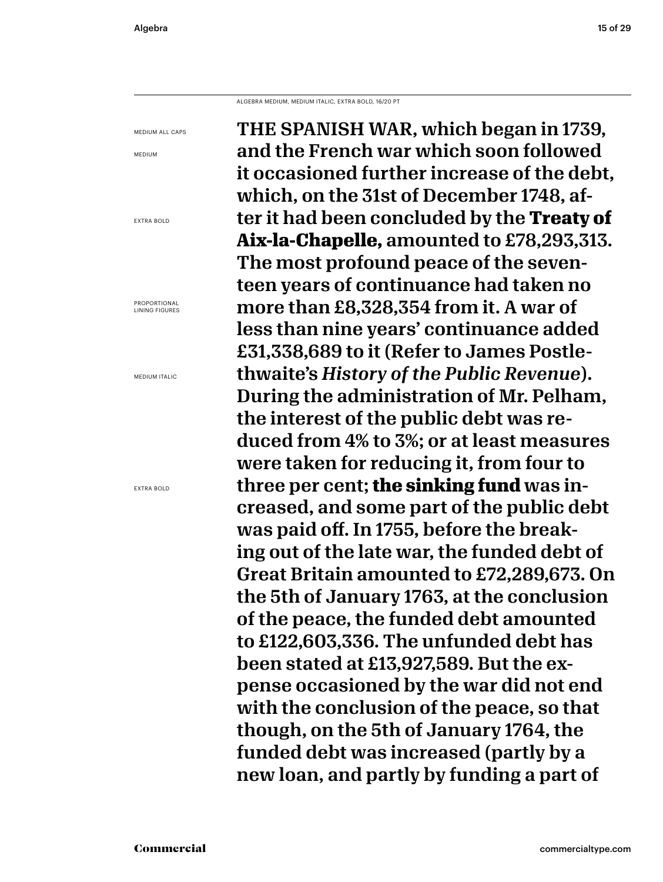ALGEBRA MEDIUM, MEDIUM ITALIC, EXTRA BOLD, 16/20 PT

THE SPANISH WAR, which began in 1739, and the French war which soon followed it occasioned further increase of the debt, which, on the 31st of December 1748, after it had been concluded by the **Treaty of Aix-la-Chapelle,** amounted to £78,293,313. The most profound peace of the seventeen years of continuance had taken no more than £8,328,354 from it. A war of less than nine years' continuance added £31,338,689 to it (Refer to James Postlethwaite's *History of the Public Revenue*). During the administration of Mr. Pelham, the interest of the public debt was reduced from 4% to 3%; or at least measures were taken for reducing it, from four to three per cent; **the sinking fund** was increased, and some part of the public debt was paid off. In 1755, before the breaking out of the late war, the funded debt of Great Britain amounted to £72,289,673. On the 5th of January 1763, at the conclusion of the peace, the funded debt amounted to £122,603,336. The unfunded debt has been stated at £13,927,589. But the expense occasioned by the war did not end with the conclusion of the peace, so that though, on the 5th of January 1764, the funded debt was increased (partly by a new loan, and partly by funding a part of

MEDIUM ALL CAPS MEDIUM

EXTRA BOLD

PROPORTIONAL LINING FIGURES

MEDIUM ITALIC

EXTRA BOLD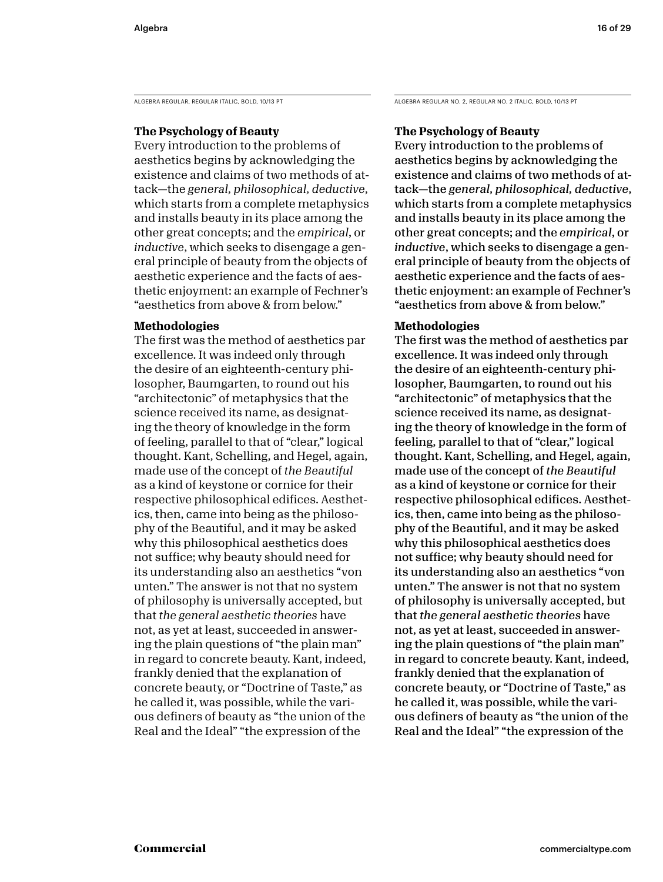### **The Psychology of Beauty**

Every introduction to the problems of aesthetics begins by acknowledging the existence and claims of two methods of attack—the *general, philosophical, deductive*, which starts from a complete metaphysics and installs beauty in its place among the other great concepts; and the *empirical*, or *inductive*, which seeks to disengage a general principle of beauty from the objects of aesthetic experience and the facts of aesthetic enjoyment: an example of Fechner's "aesthetics from above & from below."

### **Methodologies**

The first was the method of aesthetics par excellence. It was indeed only through the desire of an eighteenth-century philosopher, Baumgarten, to round out his "architectonic" of metaphysics that the science received its name, as designating the theory of knowledge in the form of feeling, parallel to that of "clear," logical thought. Kant, Schelling, and Hegel, again, made use of the concept of *the Beautiful* as a kind of keystone or cornice for their respective philosophical edifices. Aesthetics, then, came into being as the philosophy of the Beautiful, and it may be asked why this philosophical aesthetics does not suffice; why beauty should need for its understanding also an aesthetics "von unten." The answer is not that no system of philosophy is universally accepted, but that *the general aesthetic theories* have not, as yet at least, succeeded in answering the plain questions of "the plain man" in regard to concrete beauty. Kant, indeed, frankly denied that the explanation of concrete beauty, or "Doctrine of Taste," as he called it, was possible, while the various definers of beauty as "the union of the Real and the Ideal" "the expression of the

ALGEBRA REGULAR, REGULAR ITALIC, BOLD, 10/13 PT ALGEBRA REGULAR NO. 2, REGULAR NO. 2 ITALIC, BOLD, 10/13 PT

### **The Psychology of Beauty**

Every introduction to the problems of aesthetics begins by acknowledging the existence and claims of two methods of attack—the *general, philosophical, deductive*, which starts from a complete metaphysics and installs beauty in its place among the other great concepts; and the *empirical*, or *inductive*, which seeks to disengage a general principle of beauty from the objects of aesthetic experience and the facts of aesthetic enjoyment: an example of Fechner's "aesthetics from above & from below."

### **Methodologies**

The first was the method of aesthetics par excellence. It was indeed only through the desire of an eighteenth-century philosopher, Baumgarten, to round out his "architectonic" of metaphysics that the science received its name, as designating the theory of knowledge in the form of feeling, parallel to that of "clear," logical thought. Kant, Schelling, and Hegel, again, made use of the concept of *the Beautiful* as a kind of keystone or cornice for their respective philosophical edifices. Aesthetics, then, came into being as the philosophy of the Beautiful, and it may be asked why this philosophical aesthetics does not suffice; why beauty should need for its understanding also an aesthetics "von unten." The answer is not that no system of philosophy is universally accepted, but that *the general aesthetic theories* have not, as yet at least, succeeded in answering the plain questions of "the plain man" in regard to concrete beauty. Kant, indeed, frankly denied that the explanation of concrete beauty, or "Doctrine of Taste," as he called it, was possible, while the various definers of beauty as "the union of the Real and the Ideal" "the expression of the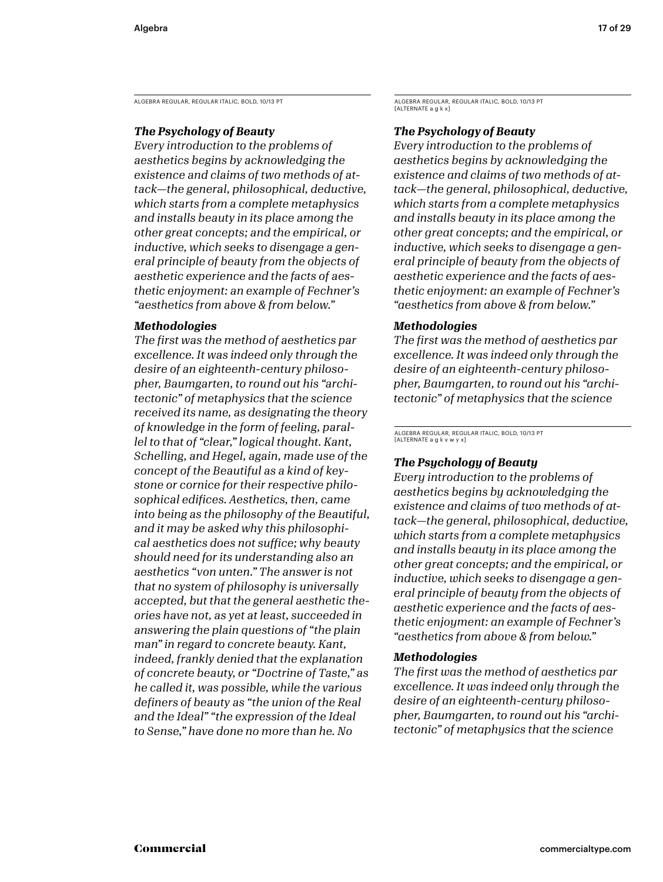ALGEBRA REGULAR, REGULAR ITALIC, BOLD, 10/13 PT ALGEBRA REGULAR, REGULAR ITALIC, BOLD, 10/13 PT

### *The Psychology of Beauty*

*Every introduction to the problems of aesthetics begins by acknowledging the existence and claims of two methods of attack—the general, philosophical, deductive, which starts from a complete metaphysics and installs beauty in its place among the other great concepts; and the empirical, or inductive, which seeks to disengage a general principle of beauty from the objects of aesthetic experience and the facts of aesthetic enjoyment: an example of Fechner's "aesthetics from above & from below."* 

### *Methodologies*

*The first was the method of aesthetics par excellence. It was indeed only through the desire of an eighteenth-century philosopher, Baumgarten, to round out his "architectonic" of metaphysics that the science received its name, as designating the theory of knowledge in the form of feeling, parallel to that of "clear," logical thought. Kant, Schelling, and Hegel, again, made use of the concept of the Beautiful as a kind of keystone or cornice for their respective philosophical edifices. Aesthetics, then, came into being as the philosophy of the Beautiful, and it may be asked why this philosophical aesthetics does not suffice; why beauty should need for its understanding also an aesthetics "von unten." The answer is not that no system of philosophy is universally accepted, but that the general aesthetic theories have not, as yet at least, succeeded in answering the plain questions of "the plain man" in regard to concrete beauty. Kant, indeed, frankly denied that the explanation of concrete beauty, or "Doctrine of Taste," as he called it, was possible, while the various definers of beauty as "the union of the Real and the Ideal" "the expression of the Ideal to Sense," have done no more than he. No* 

[ALTERNATE a g k x]

### *The Psychology of Beauty*

*Every introduction to the problems of aesthetics begins by acknowledging the existence and claims of two methods of attack—the general, philosophical, deductive, which starts from a complete metaphysics and installs beauty in its place among the other great concepts; and the empirical, or inductive, which seeks to disengage a general principle of beauty from the objects of aesthetic experience and the facts of aesthetic enjoyment: an example of Fechner's "aesthetics from above & from below."* 

### *Methodologies*

*The first was the method of aesthetics par excellence. It was indeed only through the desire of an eighteenth-century philosopher, Baumgarten, to round out his "architectonic" of metaphysics that the science* 

ALGEBRA REGULAR, REGULAR ITALIC, BOLD, 10/13 PT [ALTERNATE a g k v w y x]

### *The Psychology of Beauty*

*Every introduction to the problems of aesthetics begins by acknowledging the existence and claims of two methods of attack—the general, philosophical, deductive, which starts from a complete metaphysics and installs beauty in its place among the other great concepts; and the empirical, or inductive, which seeks to disengage a general principle of beauty from the objects of aesthetic experience and the facts of aesthetic enjoyment: an example of Fechner's "aesthetics from above & from below."* 

### *Methodologies*

*The first was the method of aesthetics par excellence. It was indeed only through the desire of an eighteenth-century philosopher, Baumgarten, to round out his "architectonic" of metaphysics that the science*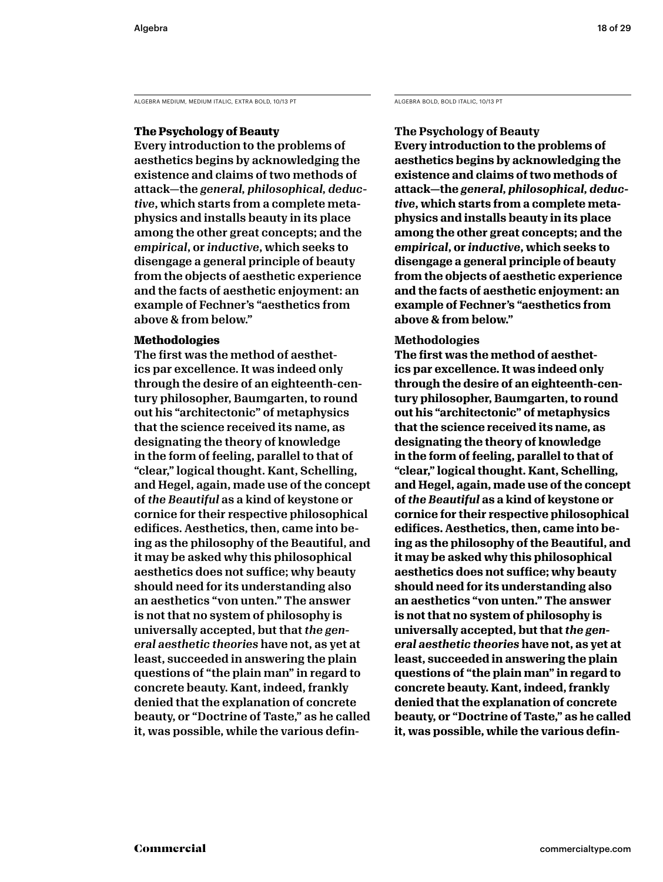ALGEBRA MEDIUM, MEDIUM ITALIC, EXTRA BOLD, 10/13 PT ALGEBRA BOLD, BOLD ITALIC, 10/13 PT

### **The Psychology of Beauty**

Every introduction to the problems of aesthetics begins by acknowledging the existence and claims of two methods of attack—the *general, philosophical, deductive*, which starts from a complete metaphysics and installs beauty in its place among the other great concepts; and the *empirical*, or *inductive*, which seeks to disengage a general principle of beauty from the objects of aesthetic experience and the facts of aesthetic enjoyment: an example of Fechner's "aesthetics from above & from below."

### **Methodologies**

The first was the method of aesthetics par excellence. It was indeed only through the desire of an eighteenth-century philosopher, Baumgarten, to round out his "architectonic" of metaphysics that the science received its name, as designating the theory of knowledge in the form of feeling, parallel to that of "clear," logical thought. Kant, Schelling, and Hegel, again, made use of the concept of *the Beautiful* as a kind of keystone or cornice for their respective philosophical edifices. Aesthetics, then, came into being as the philosophy of the Beautiful, and it may be asked why this philosophical aesthetics does not suffice; why beauty should need for its understanding also an aesthetics "von unten." The answer is not that no system of philosophy is universally accepted, but that *the general aesthetic theories* have not, as yet at least, succeeded in answering the plain questions of "the plain man" in regard to concrete beauty. Kant, indeed, frankly denied that the explanation of concrete beauty, or "Doctrine of Taste," as he called it, was possible, while the various defin-

### **The Psychology of Beauty**

**Every introduction to the problems of aesthetics begins by acknowledging the existence and claims of two methods of attack—the** *general, philosophical, deductive***, which starts from a complete metaphysics and installs beauty in its place among the other great concepts; and the**  *empirical***, or** *inductive***, which seeks to disengage a general principle of beauty from the objects of aesthetic experience and the facts of aesthetic enjoyment: an example of Fechner's "aesthetics from above & from below."** 

### **Methodologies**

**The first was the method of aesthetics par excellence. It was indeed only through the desire of an eighteenth-century philosopher, Baumgarten, to round out his "architectonic" of metaphysics that the science received its name, as designating the theory of knowledge in the form of feeling, parallel to that of "clear," logical thought. Kant, Schelling, and Hegel, again, made use of the concept of** *the Beautiful* **as a kind of keystone or cornice for their respective philosophical edifices. Aesthetics, then, came into being as the philosophy of the Beautiful, and it may be asked why this philosophical aesthetics does not suffice; why beauty should need for its understanding also an aesthetics "von unten." The answer is not that no system of philosophy is universally accepted, but that** *the general aesthetic theories* **have not, as yet at least, succeeded in answering the plain questions of "the plain man" in regard to concrete beauty. Kant, indeed, frankly denied that the explanation of concrete beauty, or "Doctrine of Taste," as he called it, was possible, while the various defin-**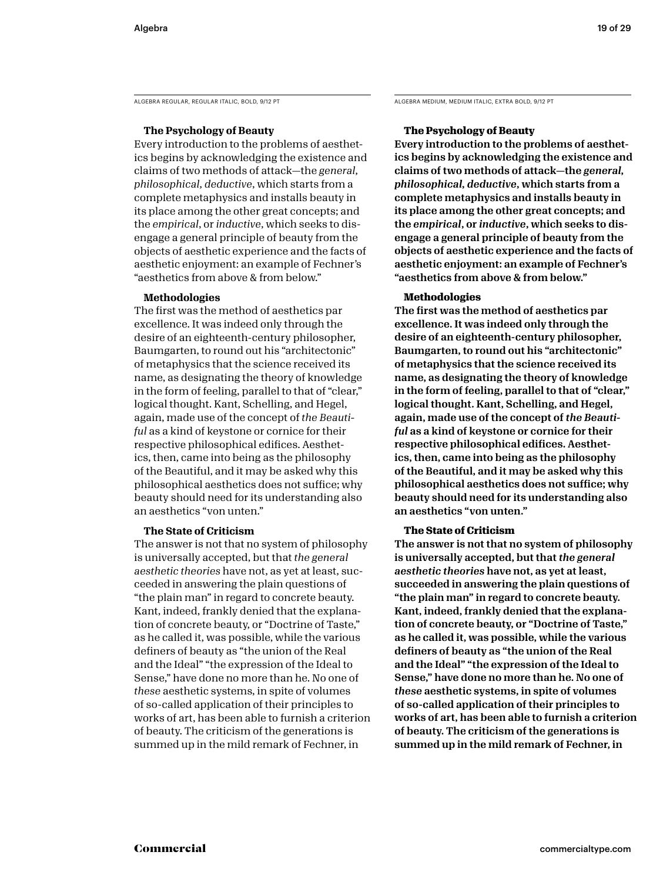ALGEBRA REGULAR, REGULAR ITALIC, BOLD, 9/12 PT ALGEBRA MEDIUM, MEDIUM ITALIC, EXTRA BOLD, 9/12 PT

### **The Psychology of Beauty**

Every introduction to the problems of aesthetics begins by acknowledging the existence and claims of two methods of attack—the *general, philosophical, deductive*, which starts from a complete metaphysics and installs beauty in its place among the other great concepts; and the *empirical*, or *inductive*, which seeks to disengage a general principle of beauty from the objects of aesthetic experience and the facts of aesthetic enjoyment: an example of Fechner's "aesthetics from above & from below."

### **Methodologies**

The first was the method of aesthetics par excellence. It was indeed only through the desire of an eighteenth-century philosopher, Baumgarten, to round out his "architectonic" of metaphysics that the science received its name, as designating the theory of knowledge in the form of feeling, parallel to that of "clear," logical thought. Kant, Schelling, and Hegel, again, made use of the concept of *the Beautiful* as a kind of keystone or cornice for their respective philosophical edifices. Aesthetics, then, came into being as the philosophy of the Beautiful, and it may be asked why this philosophical aesthetics does not suffice; why beauty should need for its understanding also an aesthetics "von unten."

### **The State of Criticism**

The answer is not that no system of philosophy is universally accepted, but that *the general aesthetic theories* have not, as yet at least, succeeded in answering the plain questions of "the plain man" in regard to concrete beauty. Kant, indeed, frankly denied that the explanation of concrete beauty, or "Doctrine of Taste," as he called it, was possible, while the various definers of beauty as "the union of the Real and the Ideal" "the expression of the Ideal to Sense," have done no more than he. No one of *these* aesthetic systems, in spite of volumes of so-called application of their principles to works of art, has been able to furnish a criterion of beauty. The criticism of the generations is summed up in the mild remark of Fechner, in

### **The Psychology of Beauty**

Every introduction to the problems of aesthetics begins by acknowledging the existence and claims of two methods of attack—the *general, philosophical, deductive*, which starts from a complete metaphysics and installs beauty in its place among the other great concepts; and the *empirical*, or *inductive*, which seeks to disengage a general principle of beauty from the objects of aesthetic experience and the facts of aesthetic enjoyment: an example of Fechner's "aesthetics from above & from below."

### **Methodologies**

The first was the method of aesthetics par excellence. It was indeed only through the desire of an eighteenth-century philosopher, Baumgarten, to round out his "architectonic" of metaphysics that the science received its name, as designating the theory of knowledge in the form of feeling, parallel to that of "clear," logical thought. Kant, Schelling, and Hegel, again, made use of the concept of *the Beautiful* as a kind of keystone or cornice for their respective philosophical edifices. Aesthetics, then, came into being as the philosophy of the Beautiful, and it may be asked why this philosophical aesthetics does not suffice; why beauty should need for its understanding also an aesthetics "von unten."

### **The State of Criticism**

The answer is not that no system of philosophy is universally accepted, but that *the general aesthetic theories* have not, as yet at least, succeeded in answering the plain questions of "the plain man" in regard to concrete beauty. Kant, indeed, frankly denied that the explanation of concrete beauty, or "Doctrine of Taste," as he called it, was possible, while the various definers of beauty as "the union of the Real and the Ideal" "the expression of the Ideal to Sense," have done no more than he. No one of *these* aesthetic systems, in spite of volumes of so-called application of their principles to works of art, has been able to furnish a criterion of beauty. The criticism of the generations is summed up in the mild remark of Fechner, in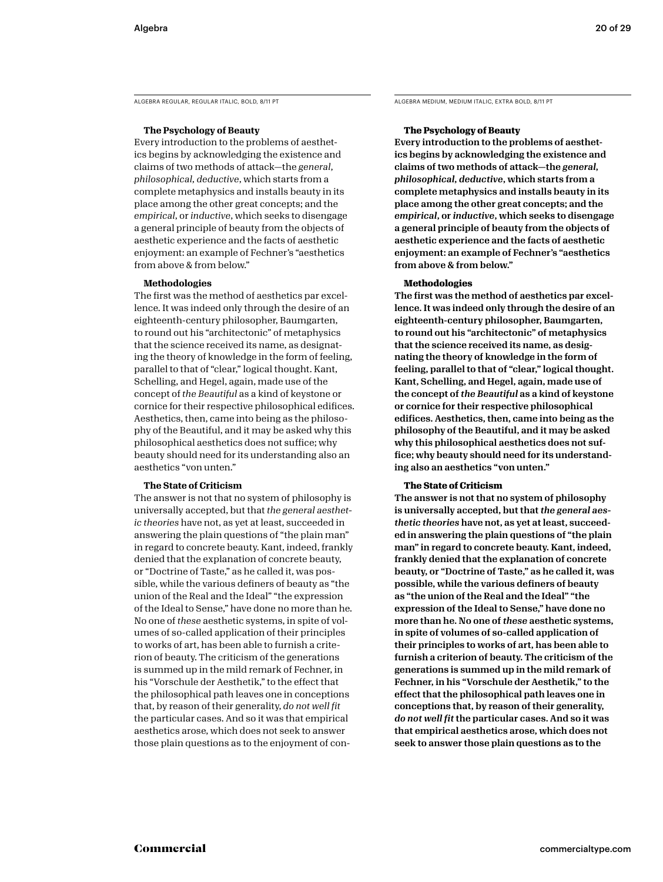ALGEBRA REGULAR, REGULAR ITALIC, BOLD, 8/11 PT ALGEBRA MEDIUM, MEDIUM ITALIC, EXTRA BOLD, 8/11 PT

### **The Psychology of Beauty**

Every introduction to the problems of aesthetics begins by acknowledging the existence and claims of two methods of attack—the *general, philosophical, deductive*, which starts from a complete metaphysics and installs beauty in its place among the other great concepts; and the *empirical*, or *inductive*, which seeks to disengage a general principle of beauty from the objects of aesthetic experience and the facts of aesthetic enjoyment: an example of Fechner's "aesthetics from above & from below."

### **Methodologies**

The first was the method of aesthetics par excellence. It was indeed only through the desire of an eighteenth-century philosopher, Baumgarten, to round out his "architectonic" of metaphysics that the science received its name, as designating the theory of knowledge in the form of feeling, parallel to that of "clear," logical thought. Kant, Schelling, and Hegel, again, made use of the concept of *the Beautiful* as a kind of keystone or cornice for their respective philosophical edifices. Aesthetics, then, came into being as the philosophy of the Beautiful, and it may be asked why this philosophical aesthetics does not suffice; why beauty should need for its understanding also an aesthetics "von unten."

### **The State of Criticism**

The answer is not that no system of philosophy is universally accepted, but that *the general aesthetic theories* have not, as yet at least, succeeded in answering the plain questions of "the plain man" in regard to concrete beauty. Kant, indeed, frankly denied that the explanation of concrete beauty, or "Doctrine of Taste," as he called it, was possible, while the various definers of beauty as "the union of the Real and the Ideal" "the expression of the Ideal to Sense," have done no more than he. No one of *these* aesthetic systems, in spite of volumes of so-called application of their principles to works of art, has been able to furnish a criterion of beauty. The criticism of the generations is summed up in the mild remark of Fechner, in his "Vorschule der Aesthetik," to the effect that the philosophical path leaves one in conceptions that, by reason of their generality, *do not well fit*  the particular cases. And so it was that empirical aesthetics arose, which does not seek to answer those plain questions as to the enjoyment of con-

### **The Psychology of Beauty**

Every introduction to the problems of aesthetics begins by acknowledging the existence and claims of two methods of attack—the *general, philosophical, deductive*, which starts from a complete metaphysics and installs beauty in its place among the other great concepts; and the *empirical*, or *inductive*, which seeks to disengage a general principle of beauty from the objects of aesthetic experience and the facts of aesthetic enjoyment: an example of Fechner's "aesthetics from above & from below."

### **Methodologies**

The first was the method of aesthetics par excellence. It was indeed only through the desire of an eighteenth-century philosopher, Baumgarten, to round out his "architectonic" of metaphysics that the science received its name, as designating the theory of knowledge in the form of feeling, parallel to that of "clear," logical thought. Kant, Schelling, and Hegel, again, made use of the concept of *the Beautiful* as a kind of keystone or cornice for their respective philosophical edifices. Aesthetics, then, came into being as the philosophy of the Beautiful, and it may be asked why this philosophical aesthetics does not suffice; why beauty should need for its understanding also an aesthetics "von unten."

### **The State of Criticism**

The answer is not that no system of philosophy is universally accepted, but that *the general aesthetic theories* have not, as yet at least, succeeded in answering the plain questions of "the plain man" in regard to concrete beauty. Kant, indeed, frankly denied that the explanation of concrete beauty, or "Doctrine of Taste," as he called it, was possible, while the various definers of beauty as "the union of the Real and the Ideal" "the expression of the Ideal to Sense," have done no more than he. No one of *these* aesthetic systems, in spite of volumes of so-called application of their principles to works of art, has been able to furnish a criterion of beauty. The criticism of the generations is summed up in the mild remark of Fechner, in his "Vorschule der Aesthetik," to the effect that the philosophical path leaves one in conceptions that, by reason of their generality, *do not well fit* the particular cases. And so it was that empirical aesthetics arose, which does not seek to answer those plain questions as to the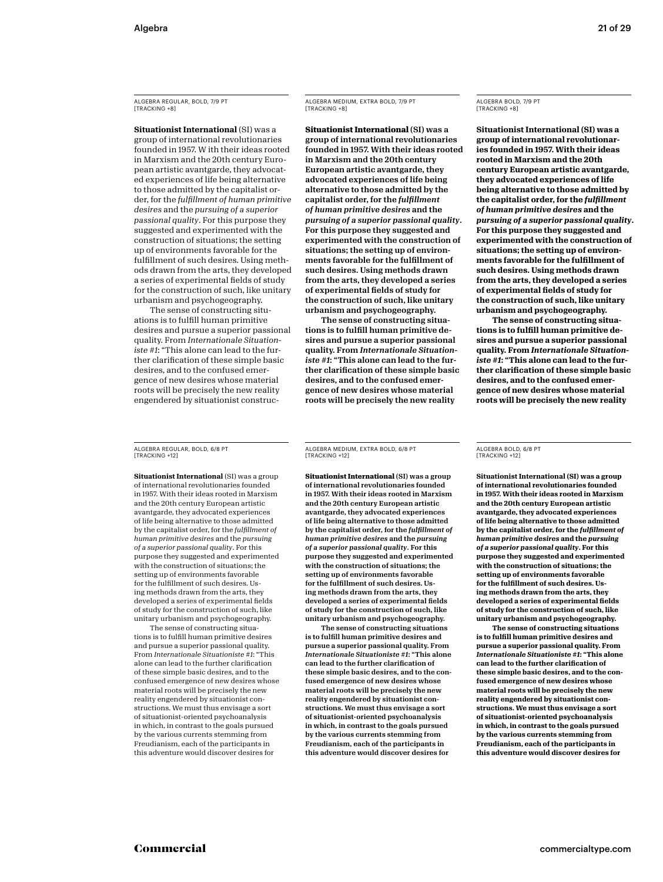ALGEBRA REGULAR, BOLD, 7/9 PT [TRACKING +8]

**Situationist International** (SI) was a group of international revolutionaries founded in 1957. W ith their ideas rooted in Marxism and the 20th century European artistic avantgarde, they advocated experiences of life being alternative to those admitted by the capitalist order, for the *fulfillment of human primitive desires* and the *pursuing of a superior passional quality*. For this purpose they suggested and experimented with the construction of situations; the setting up of environments favorable for the fulfillment of such desires. Using methods drawn from the arts, they developed a series of experimental fields of study for the construction of such, like unitary urbanism and psychogeography.

The sense of constructing situations is to fulfill human primitive desires and pursue a superior passional quality. From *Internationale Situationiste #1*: "This alone can lead to the further clarification of these simple basic desires, and to the confused emergence of new desires whose material roots will be precisely the new reality engendered by situationist construcALGEBRA MEDIUM, EXTRA BOLD, 7/9 PT [TRACKING +8]

**Situationist International** (SI) was a group of international revolutionaries founded in 1957. With their ideas rooted in Marxism and the 20th century European artistic avantgarde, they advocated experiences of life being alternative to those admitted by the capitalist order, for the *fulfillment of human primitive desires* and the *pursuing of a superior passional quality*. For this purpose they suggested and experimented with the construction of situations; the setting up of environments favorable for the fulfillment of such desires. Using methods drawn from the arts, they developed a series of experimental fields of study for the construction of such, like unitary urbanism and psychogeography.

The sense of constructing situations is to fulfill human primitive desires and pursue a superior passional quality. From *Internationale Situationiste #1*: "This alone can lead to the further clarification of these simple basic desires, and to the confused emergence of new desires whose material roots will be precisely the new reality

ALGEBRA BOLD, 7/9 PT [TRACKING +8]

**Situationist International (SI) was a group of international revolutionaries founded in 1957. With their ideas rooted in Marxism and the 20th century European artistic avantgarde, they advocated experiences of life being alternative to those admitted by the capitalist order, for the** *fulfillment of human primitive desires* **and the**  *pursuing of a superior passional quality***. For this purpose they suggested and experimented with the construction of situations; the setting up of environments favorable for the fulfillment of such desires. Using methods drawn from the arts, they developed a series of experimental fields of study for the construction of such, like unitary urbanism and psychogeography.**

**The sense of constructing situations is to fulfill human primitive desires and pursue a superior passional quality. From** *Internationale Situationiste #1***: "This alone can lead to the further clarification of these simple basic desires, and to the confused emergence of new desires whose material roots will be precisely the new reality** 

ALGEBRA REGULAR, BOLD, 6/8 PT [TRACKING +12]

**Situationist International** (SI) was a group of international revolutionaries founded in 1957. With their ideas rooted in Marxism and the 20th century European artistic avantgarde, they advocated experiences of life being alternative to those admitted by the capitalist order, for the *fulfillment of human primitive desires* and the *pursuing of a superior passional quality*. For this purpose they suggested and experimented with the construction of situations; the setting up of environments favorable for the fulfillment of such desires. Using methods drawn from the arts, they developed a series of experimental fields of study for the construction of such, like unitary urbanism and psychogeography.

The sense of constructing situations is to fulfill human primitive desires and pursue a superior passional quality. From *Internationale Situationiste #1*: "This alone can lead to the further clarification of these simple basic desires, and to the confused emergence of new desires whose material roots will be precisely the new reality engendered by situationist constructions. We must thus envisage a sort of situationist-oriented psychoanalysis in which, in contrast to the goals pursued by the various currents stemming from Freudianism, each of the participants in this adventure would discover desires for

ALGEBRA MEDIUM, EXTRA BOLD, 6/8 PT [TRACKING +12]

**Situationist International** (SI) was a group of international revolutionaries founded in 1957. With their ideas rooted in Marxism and the 20th century European artistic avantgarde, they advocated experiences of life being alternative to those admitted by the capitalist order, for the *fulfillment of human primitive desires* and the *pursuing of a superior passional quality*. For this purpose they suggested and experimented with the construction of situations; the setting up of environments favorable for the fulfillment of such desires. Using methods drawn from the arts, they developed a series of experimental fields of study for the construction of such, like unitary urbanism and psychogeography.

The sense of constructing situations is to fulfill human primitive desires and pursue a superior passional quality. From *Internationale Situationiste #1*: "This alone can lead to the further clarification of these simple basic desires, and to the confused emergence of new desires whose material roots will be precisely the new reality engendered by situationist constructions. We must thus envisage a sort of situationist-oriented psychoanalysis in which, in contrast to the goals pursued by the various currents stemming from Freudianism, each of the participants in this adventure would discover desires for

ALGEBRA BOLD, 6/8 PT [TRACKING +12]

**Situationist International (SI) was a group of international revolutionaries founded in 1957. With their ideas rooted in Marxism and the 20th century European artistic avantgarde, they advocated experiences of life being alternative to those admitted by the capitalist order, for the** *fulfillment of human primitive desires* **and the** *pursuing of a superior passional quality***. For this purpose they suggested and experimented with the construction of situations; the setting up of environments favorable for the fulfillment of such desires. Using methods drawn from the arts, they developed a series of experimental fields of study for the construction of such, like unitary urbanism and psychogeography.**

**The sense of constructing situations is to fulfill human primitive desires and pursue a superior passional quality. From**  *Internationale Situationiste #1***: "This alone can lead to the further clarification of these simple basic desires, and to the confused emergence of new desires whose material roots will be precisely the new reality engendered by situationist constructions. We must thus envisage a sort of situationist-oriented psychoanalysis in which, in contrast to the goals pursued by the various currents stemming from Freudianism, each of the participants in this adventure would discover desires for**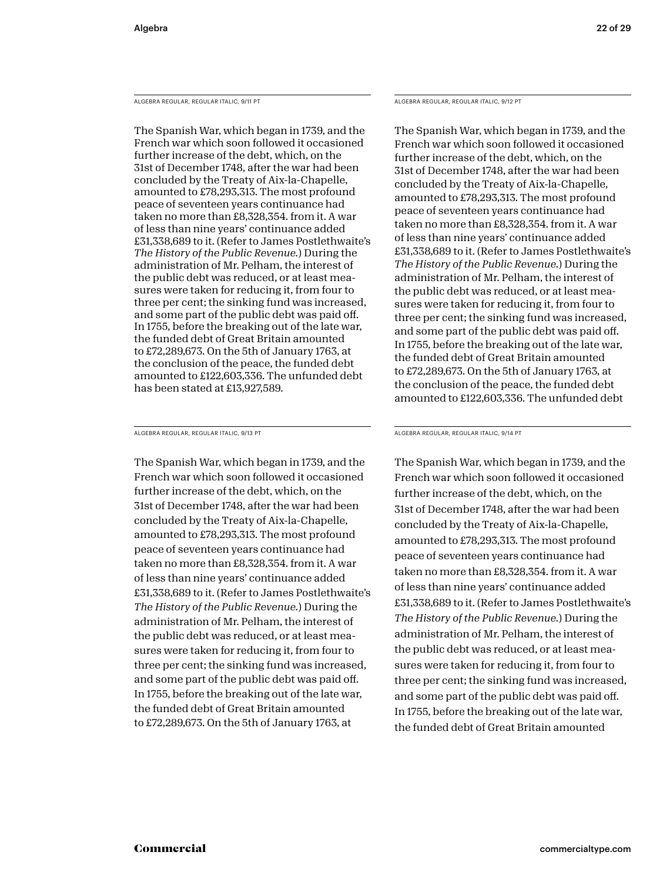ALGEBRA REGULAR, REGULAR ITALIC, 9/11 PT

The Spanish War, which began in 1739, and the French war which soon followed it occasioned further increase of the debt, which, on the 31st of December 1748, after the war had been concluded by the Treaty of Aix-la-Chapelle, amounted to £78,293,313. The most profound peace of seventeen years continuance had taken no more than £8,328,354. from it. A war of less than nine years' continuance added £31,338,689 to it. (Refer to James Postlethwaite's *The History of the Public Revenue.*) During the administration of Mr. Pelham, the interest of the public debt was reduced, or at least measures were taken for reducing it, from four to three per cent; the sinking fund was increased, and some part of the public debt was paid off. In 1755, before the breaking out of the late war, the funded debt of Great Britain amounted to £72,289,673. On the 5th of January 1763, at the conclusion of the peace, the funded debt amounted to £122,603,336. The unfunded debt has been stated at £13,927,589.

ALGEBRA REGULAR, REGULAR ITALIC, 9/13 PT

The Spanish War, which began in 1739, and the French war which soon followed it occasioned further increase of the debt, which, on the 31st of December 1748, after the war had been concluded by the Treaty of Aix-la-Chapelle, amounted to £78,293,313. The most profound peace of seventeen years continuance had taken no more than £8,328,354. from it. A war of less than nine years' continuance added £31,338,689 to it. (Refer to James Postlethwaite's *The History of the Public Revenue.*) During the administration of Mr. Pelham, the interest of the public debt was reduced, or at least measures were taken for reducing it, from four to three per cent; the sinking fund was increased, and some part of the public debt was paid off. In 1755, before the breaking out of the late war, the funded debt of Great Britain amounted to £72,289,673. On the 5th of January 1763, at

ALGEBRA REGULAR, REGULAR ITALIC, 9/12 PT

The Spanish War, which began in 1739, and the French war which soon followed it occasioned further increase of the debt, which, on the 31st of December 1748, after the war had been concluded by the Treaty of Aix-la-Chapelle, amounted to £78,293,313. The most profound peace of seventeen years continuance had taken no more than £8,328,354. from it. A war of less than nine years' continuance added £31,338,689 to it. (Refer to James Postlethwaite's *The History of the Public Revenue.*) During the administration of Mr. Pelham, the interest of the public debt was reduced, or at least measures were taken for reducing it, from four to three per cent; the sinking fund was increased, and some part of the public debt was paid off. In 1755, before the breaking out of the late war, the funded debt of Great Britain amounted to £72,289,673. On the 5th of January 1763, at the conclusion of the peace, the funded debt amounted to £122,603,336. The unfunded debt

ALGEBRA REGULAR, REGULAR ITALIC, 9/14 PT

The Spanish War, which began in 1739, and the French war which soon followed it occasioned further increase of the debt, which, on the 31st of December 1748, after the war had been concluded by the Treaty of Aix-la-Chapelle, amounted to £78,293,313. The most profound peace of seventeen years continuance had taken no more than £8,328,354. from it. A war of less than nine years' continuance added £31,338,689 to it. (Refer to James Postlethwaite's *The History of the Public Revenue.*) During the administration of Mr. Pelham, the interest of the public debt was reduced, or at least measures were taken for reducing it, from four to three per cent; the sinking fund was increased, and some part of the public debt was paid off. In 1755, before the breaking out of the late war, the funded debt of Great Britain amounted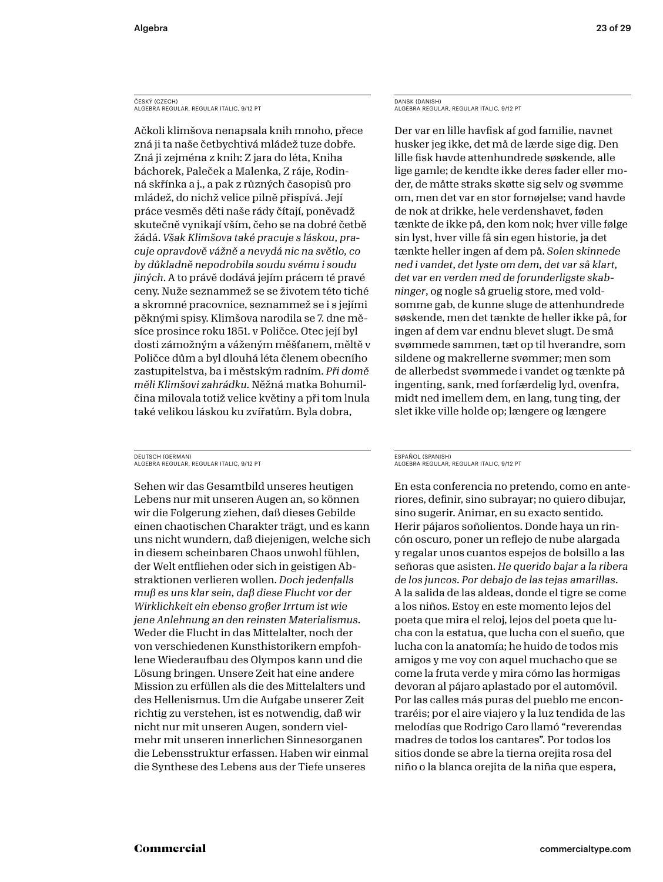### ČESKÝ (CZECH) ALGEBRA REGULAR, REGULAR ITALIC, 9/12 PT

Ačkoli klimšova nenapsala knih mnoho, přece zná ji ta naše četbychtivá mládež tuze dobře. Zná ji zejména z knih: Z jara do léta, Kniha báchorek, Paleček a Malenka, Z ráje, Rodinná skřínka a j., a pak z různých časopisů pro mládež, do nichž velice pilně přispívá. Její práce vesměs děti naše rády čítají, poněvadž skutečně vynikají vším, čeho se na dobré četbě žádá. *Však Klimšova také pracuje s láskou, pracuje opravdově vážně a nevydá nic na světlo, co by důkladně nepodrobila soudu svému i soudu jiných*. A to právě dodává jejím prácem té pravé ceny. Nuže seznammež se se životem této tiché a skromné pracovnice, seznammež se i s jejími pěknými spisy. Klimšova narodila se 7. dne měsíce prosince roku 1851. v Poličce. Otec její byl dosti zámožným a váženým měšťanem, měltě v Poličce dům a byl dlouhá léta členem obecního zastupitelstva, ba i městským radním. *Při domě měli Klimšovi zahrádku.* Něžná matka Bohumilčina milovala totiž velice květiny a při tom lnula také velikou láskou ku zvířatům. Byla dobra,

### DEUTSCH (GERMAN) ALGEBRA REGULAR, REGULAR ITALIC, 9/12 PT

Sehen wir das Gesamtbild unseres heutigen Lebens nur mit unseren Augen an, so können wir die Folgerung ziehen, daß dieses Gebilde einen chaotischen Charakter trägt, und es kann uns nicht wundern, daß diejenigen, welche sich in diesem scheinbaren Chaos unwohl fühlen, der Welt entfliehen oder sich in geistigen Abstraktionen verlieren wollen. *Doch jedenfalls muß es uns klar sein, daß diese Flucht vor der Wirklichkeit ein ebenso großer Irrtum ist wie jene Anlehnung an den reinsten Materialismus*. Weder die Flucht in das Mittelalter, noch der von verschiedenen Kunsthistorikern empfohlene Wiederaufbau des Olympos kann und die Lösung bringen. Unsere Zeit hat eine andere Mission zu erfüllen als die des Mittelalters und des Hellenismus. Um die Aufgabe unserer Zeit richtig zu verstehen, ist es notwendig, daß wir nicht nur mit unseren Augen, sondern vielmehr mit unseren innerlichen Sinnesorganen die Lebensstruktur erfassen. Haben wir einmal die Synthese des Lebens aus der Tiefe unseres

DANSK (DANISH) ALGEBRA REGULAR, REGULAR ITALIC, 9/12 PT

Der var en lille havfisk af god familie, navnet husker jeg ikke, det må de lærde sige dig. Den lille fisk havde attenhundrede søskende, alle lige gamle; de kendte ikke deres fader eller moder, de måtte straks skøtte sig selv og svømme om, men det var en stor fornøjelse; vand havde de nok at drikke, hele verdenshavet, føden tænkte de ikke på, den kom nok; hver ville følge sin lyst, hver ville få sin egen historie, ja det tænkte heller ingen af dem på. *Solen skinnede ned i vandet, det lyste om dem, det var så klart, det var en verden med de forunderligste skabninger*, og nogle så gruelig store, med voldsomme gab, de kunne sluge de attenhundrede søskende, men det tænkte de heller ikke på, for ingen af dem var endnu blevet slugt. De små svømmede sammen, tæt op til hverandre, som sildene og makrellerne svømmer; men som de allerbedst svømmede i vandet og tænkte på ingenting, sank, med forfærdelig lyd, ovenfra, midt ned imellem dem, en lang, tung ting, der slet ikke ville holde op; længere og længere

### ESPAÑOL (SPANISH) ALGEBRA REGULAR, REGULAR ITALIC, 9/12 PT

En esta conferencia no pretendo, como en anteriores, definir, sino subrayar; no quiero dibujar, sino sugerir. Animar, en su exacto sentido. Herir pájaros soñolientos. Donde haya un rincón oscuro, poner un reflejo de nube alargada y regalar unos cuantos espejos de bolsillo a las señoras que asisten. *He querido bajar a la ribera de los juncos. Por debajo de las tejas amarillas*. A la salida de las aldeas, donde el tigre se come a los niños. Estoy en este momento lejos del poeta que mira el reloj, lejos del poeta que lucha con la estatua, que lucha con el sueño, que lucha con la anatomía; he huido de todos mis amigos y me voy con aquel muchacho que se come la fruta verde y mira cómo las hormigas devoran al pájaro aplastado por el automóvil. Por las calles más puras del pueblo me encontraréis; por el aire viajero y la luz tendida de las melodías que Rodrigo Caro llamó "reverendas madres de todos los cantares". Por todos los sitios donde se abre la tierna orejita rosa del niño o la blanca orejita de la niña que espera,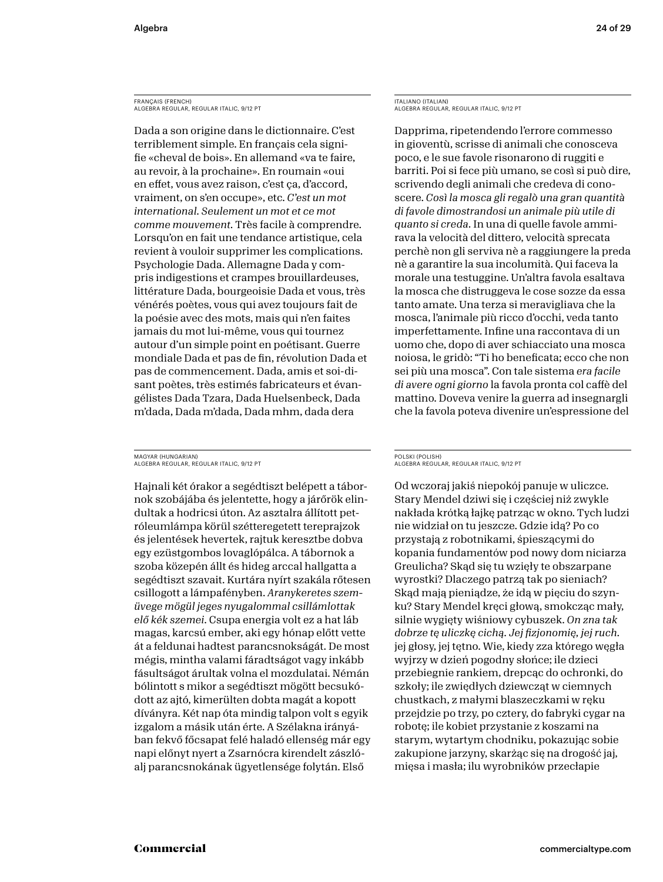FRANÇAIS (FRENCH) ALGEBRA REGULAR, REGULAR ITALIC, 9/12 PT

Dada a son origine dans le dictionnaire. C'est terriblement simple. En français cela signifie «cheval de bois». En allemand «va te faire, au revoir, à la prochaine». En roumain «oui en effet, vous avez raison, c'est ça, d'accord, vraiment, on s'en occupe», etc. *C'est un mot international. Seulement un mot et ce mot comme mouvement.* Très facile à comprendre. Lorsqu'on en fait une tendance artistique, cela revient à vouloir supprimer les complications. Psychologie Dada. Allemagne Dada y compris indigestions et crampes brouillardeuses, littérature Dada, bourgeoisie Dada et vous, très vénérés poètes, vous qui avez toujours fait de la poésie avec des mots, mais qui n'en faites jamais du mot lui-même, vous qui tournez autour d'un simple point en poétisant. Guerre mondiale Dada et pas de fin, révolution Dada et pas de commencement. Dada, amis et soi-disant poètes, très estimés fabricateurs et évangélistes Dada Tzara, Dada Huelsenbeck, Dada m'dada, Dada m'dada, Dada mhm, dada dera

MAGYAR (HUNGARIAN) ALGEBRA REGULAR, REGULAR ITALIC, 9/12 PT

Hajnali két órakor a segédtiszt belépett a tábornok szobájába és jelentette, hogy a járőrök elindultak a hodricsi úton. Az asztalra állított petróleumlámpa körül szétteregetett tereprajzok és jelentések hevertek, rajtuk keresztbe dobva egy ezüstgombos lovaglópálca. A tábornok a szoba közepén állt és hideg arccal hallgatta a segédtiszt szavait. Kurtára nyírt szakála rőtesen csillogott a lámpafényben. *Aranykeretes szemüvege mögül jeges nyugalommal csillámlottak elő kék szemei.* Csupa energia volt ez a hat láb magas, karcsú ember, aki egy hónap előtt vette át a feldunai hadtest parancsnokságát. De most mégis, mintha valami fáradtságot vagy inkább fásultságot árultak volna el mozdulatai. Némán bólintott s mikor a segédtiszt mögött becsukódott az ajtó, kimerülten dobta magát a kopott díványra. Két nap óta mindig talpon volt s egyik izgalom a másik után érte. A Szélakna irányában fekvő főcsapat felé haladó ellenség már egy napi előnyt nyert a Zsarnócra kirendelt zászlóalj parancsnokának ügyetlensége folytán. Első

ITALIANO (ITALIAN) ALGEBRA REGULAR, REGULAR ITALIC, 9/12 PT

Dapprima, ripetendendo l'errore commesso in gioventù, scrisse di animali che conosceva poco, e le sue favole risonarono di ruggiti e barriti. Poi si fece più umano, se così si può dire, scrivendo degli animali che credeva di conoscere. *Così la mosca gli regalò una gran quantità di favole dimostrandosi un animale più utile di quanto si creda*. In una di quelle favole ammirava la velocità del dittero, velocità sprecata perchè non gli serviva nè a raggiungere la preda nè a garantire la sua incolumità. Qui faceva la morale una testuggine. Un'altra favola esaltava la mosca che distruggeva le cose sozze da essa tanto amate. Una terza si meravigliava che la mosca, l'animale più ricco d'occhi, veda tanto imperfettamente. Infine una raccontava di un uomo che, dopo di aver schiacciato una mosca noiosa, le gridò: "Ti ho beneficata; ecco che non sei più una mosca". Con tale sistema *era facile di avere ogni giorno* la favola pronta col caffè del mattino. Doveva venire la guerra ad insegnargli che la favola poteva divenire un'espressione del

### POLSKI (POLISH) ALGEBRA REGULAR, REGULAR ITALIC, 9/12 PT

Od wczoraj jakiś niepokój panuje w uliczce. Stary Mendel dziwi się i częściej niż zwykle nakłada krótką łajkę patrząc w okno. Tych ludzi nie widział on tu jeszcze. Gdzie idą? Po co przystają z robotnikami, śpieszącymi do kopania fundamentów pod nowy dom niciarza Greulicha? Skąd się tu wzięły te obszarpane wyrostki? Dlaczego patrzą tak po sieniach? Skąd mają pieniądze, że idą w pięciu do szynku? Stary Mendel kręci głową, smokcząc mały, silnie wygięty wiśniowy cybuszek. *On zna tak dobrze tę uliczkę cichą. Jej fizjonomię, jej ruch.* jej głosy, jej tętno. Wie, kiedy zza którego węgła wyjrzy w dzień pogodny słońce; ile dzieci przebiegnie rankiem, drepcąc do ochronki, do szkoły; ile zwiędłych dziewcząt w ciemnych chustkach, z małymi blaszeczkami w ręku przejdzie po trzy, po cztery, do fabryki cygar na robotę; ile kobiet przystanie z koszami na starym, wytartym chodniku, pokazując sobie zakupione jarzyny, skarżąc się na drogość jaj, mięsa i masła; ilu wyrobników przecłapie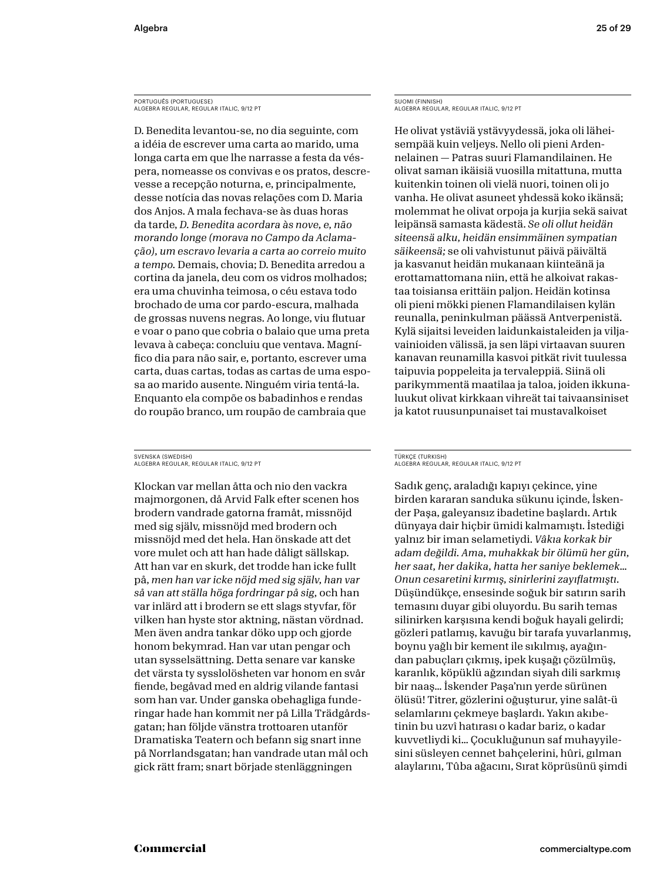PORTUGUÊS (PORTUGUESE) ALGEBRA REGULAR, REGULAR ITALIC, 9/12 PT

D. Benedita levantou-se, no dia seguinte, com a idéia de escrever uma carta ao marido, uma longa carta em que lhe narrasse a festa da véspera, nomeasse os convivas e os pratos, descrevesse a recepção noturna, e, principalmente, desse notícia das novas relações com D. Maria dos Anjos. A mala fechava-se às duas horas da tarde, *D. Benedita acordara às nove, e, não morando longe (morava no Campo da Aclamação), um escravo levaria a carta ao correio muito a tempo.* Demais, chovia; D. Benedita arredou a cortina da janela, deu com os vidros molhados; era uma chuvinha teimosa, o céu estava todo brochado de uma cor pardo-escura, malhada de grossas nuvens negras. Ao longe, viu flutuar e voar o pano que cobria o balaio que uma preta levava à cabeça: concluiu que ventava. Magnífico dia para não sair, e, portanto, escrever uma carta, duas cartas, todas as cartas de uma esposa ao marido ausente. Ninguém viria tentá-la. Enquanto ela compõe os babadinhos e rendas do roupão branco, um roupão de cambraia que

### SVENSKA (SWEDISH) ALGEBRA REGULAR, REGULAR ITALIC, 9/12 PT

Klockan var mellan åtta och nio den vackra majmorgonen, då Arvid Falk efter scenen hos brodern vandrade gatorna framåt, missnöjd med sig själv, missnöjd med brodern och missnöjd med det hela. Han önskade att det vore mulet och att han hade dåligt sällskap. Att han var en skurk, det trodde han icke fullt på, *men han var icke nöjd med sig själv, han var så van att ställa höga fordringar på sig,* och han var inlärd att i brodern se ett slags styvfar, för vilken han hyste stor aktning, nästan vördnad. Men även andra tankar döko upp och gjorde honom bekymrad. Han var utan pengar och utan sysselsättning. Detta senare var kanske det värsta ty sysslolösheten var honom en svår fiende, begåvad med en aldrig vilande fantasi som han var. Under ganska obehagliga funderingar hade han kommit ner på Lilla Trädgårdsgatan; han följde vänstra trottoaren utanför Dramatiska Teatern och befann sig snart inne på Norrlandsgatan; han vandrade utan mål och gick rätt fram; snart började stenläggningen

SUOMI (FINNISH) ALGEBRA REGULAR, REGULAR ITALIC, 9/12 PT

He olivat ystäviä ystävyydessä, joka oli läheisempää kuin veljeys. Nello oli pieni Ardennelainen — Patras suuri Flamandilainen. He olivat saman ikäisiä vuosilla mitattuna, mutta kuitenkin toinen oli vielä nuori, toinen oli jo vanha. He olivat asuneet yhdessä koko ikänsä; molemmat he olivat orpoja ja kurjia sekä saivat leipänsä samasta kädestä. *Se oli ollut heidän siteensä alku, heidän ensimmäinen sympatian säikeensä;* se oli vahvistunut päivä päivältä ja kasvanut heidän mukanaan kiinteänä ja erottamattomana niin, että he alkoivat rakastaa toisiansa erittäin paljon. Heidän kotinsa oli pieni mökki pienen Flamandilaisen kylän reunalla, peninkulman päässä Antverpenistä. Kylä sijaitsi leveiden laidunkaistaleiden ja viljavainioiden välissä, ja sen läpi virtaavan suuren kanavan reunamilla kasvoi pitkät rivit tuulessa taipuvia poppeleita ja tervaleppiä. Siinä oli parikymmentä maatilaa ja taloa, joiden ikkunaluukut olivat kirkkaan vihreät tai taivaansiniset ja katot ruusunpunaiset tai mustavalkoiset

### TÜRKÇE (TURKISH) ALGEBRA REGULAR, REGULAR ITALIC, 9/12 PT

Sadık genç, araladığı kapıyı çekince, yine birden kararan sanduka sükunu içinde, İskender Paşa, galeyansız ibadetine başlardı. Artık dünyaya dair hiçbir ümidi kalmamıştı. İstediği yalnız bir iman selametiydi. *Vâkıa korkak bir adam değildi. Ama, muhakkak bir ölümü her gün, her saat, her dakika, hatta her saniye beklemek… Onun cesaretini kırmış, sinirlerini zayıflatmıştı.* Düşündükçe, ensesinde soğuk bir satırın sarih temasını duyar gibi oluyordu. Bu sarih temas silinirken karşısına kendi boğuk hayali gelirdi; gözleri patlamış, kavuğu bir tarafa yuvarlanmış, boynu yağlı bir kement ile sıkılmış, ayağından pabuçları çıkmış, ipek kuşağı çözülmüş, karanlık, köpüklü ağzından siyah dili sarkmış bir naaş… İskender Paşa'nın yerde sürünen ölüsü! Titrer, gözlerini oğuşturur, yine salât-ü selamlarını çekmeye başlardı. Yakın akıbetinin bu uzvî hatırası o kadar bariz, o kadar kuvvetliydi ki… Çocukluğunun saf muhayyilesini süsleyen cennet bahçelerini, hûri, gılman alaylarını, Tûba ağacını, Sırat köprüsünü şimdi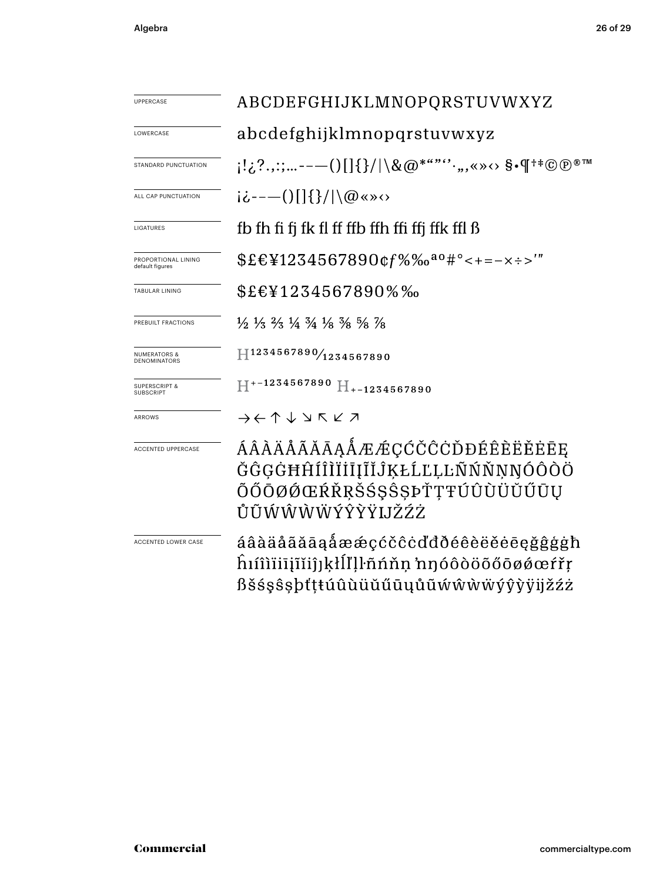| UPPERCASE                                    | ABCDEFGHIJKLMNOPQRSTUVWXYZ                                                                                                    |  |  |
|----------------------------------------------|-------------------------------------------------------------------------------------------------------------------------------|--|--|
| LOWERCASE                                    | abcdefghijklmnopqrstuvwxyz                                                                                                    |  |  |
| STANDARD PUNCTUATION                         | $\{1,2^2,2^2,---()[\{\}\}/ \setminus\&@^{***'}\cdot, , *\times\cdots \$ . The set of $\P^{++}\textcircled{p^{\circledast m}}$ |  |  |
| ALL CAP PUNCTUATION                          | $i\dot{\zeta}$ ----()[]{}/ \@«»<>                                                                                             |  |  |
| LIGATURES                                    | fb fh fi fj fk fl ff ffb ffh ffi ffj ffk ffl ß                                                                                |  |  |
| PROPORTIONAL LINING<br>default figures       | $$EEY1234567890$ $gf\%$ % $a^{\alpha\beta}$ $\neq$ - = - x ÷ >'"                                                              |  |  |
| TABULAR LINING                               | \$£€¥1234567890%‰                                                                                                             |  |  |
| PREBUILT FRACTIONS                           | $\frac{1}{2}$ $\frac{1}{3}$ $\frac{2}{3}$ $\frac{1}{4}$ $\frac{3}{4}$ $\frac{1}{8}$ $\frac{3}{8}$ $\frac{5}{8}$ $\frac{7}{8}$ |  |  |
| <b>NUMERATORS &amp;</b><br>DENOMINATORS      | 1234567890/1234567890                                                                                                         |  |  |
| <b>SUPERSCRIPT &amp;</b><br><b>SUBSCRIPT</b> | $H^{+-1234567890}$ $H_{+-1234567890}$                                                                                         |  |  |
| ARROWS                                       | $\rightarrow$ $\leftarrow$ $\uparrow$ $\downarrow$ $\searrow$ $\uparrow$ $\swarrow$ $\nearrow$                                |  |  |
| ACCENTED UPPERCASE                           | ÁÂÀÄÅÃĂĀĄÅÆÆÇĆČĈĊĎĐÉÊÈËĖĒE<br>ĞĜĢĠĦĤÍÎÌÏİĪĮĨĬĴĶŁĹĽĻĿÑŃŇŅŊÓÔÒÖ<br>ÕŐŌØØŒŔŘŖŠŚŞŜŞÞŤŢŦÚÛÙÜŬŰŪŲ<br>ŮŨŴŴŴŴÝŶŶŸIJŽŹŻ                |  |  |
| ACCENTED LOWER CASE                          | áâàäåããāaåææçćčĉċďđðéêèëěēęğĝģġħ<br>hîîîiiiiĭĭiĵjkłĺľḷŀñńňņ 'nŋóôòöõőōøǿœŕřŗ<br>ßšśşŝşþťţŧúûùüŭűūųůũẃŵẁẅýŷỳÿijžźż             |  |  |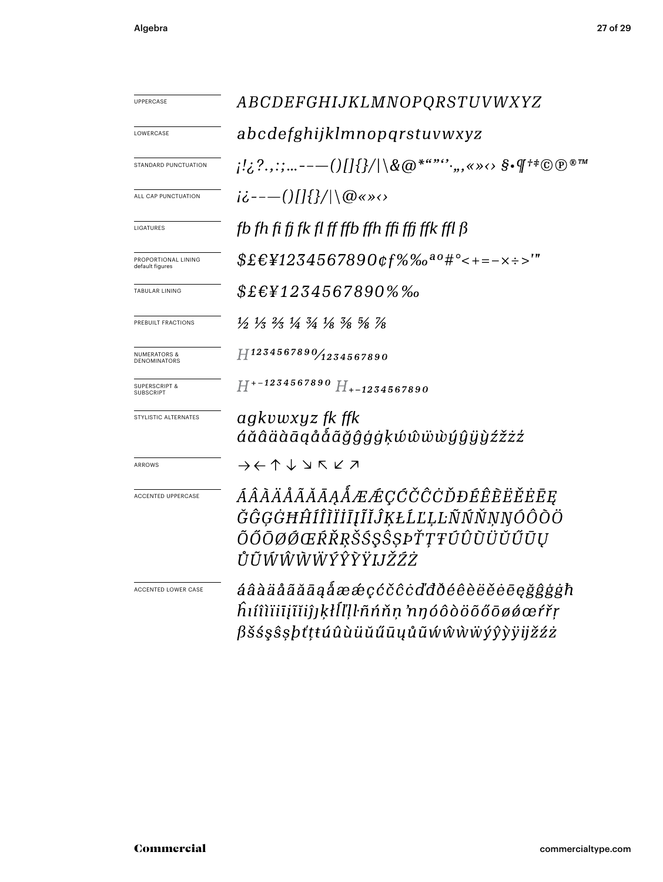| UPPERCASE                              | ABCDEFGHIJKLMNOPQRSTUVWXYZ                                                                                                                                    |  |  |
|----------------------------------------|---------------------------------------------------------------------------------------------------------------------------------------------------------------|--|--|
| LOWERCASE                              | abcdefghijklmnopqrstuvwxyz                                                                                                                                    |  |  |
| STANDARD PUNCTUATION                   | $\{1,\ldots,1,\ldots---()\{\ket{\{\}}/\}\setminus\&\textcircled{a}^{***},\ldots, \textcircled{s}.\textcircled{f}^{\dag\#}\textcircled{e}^{\textcircled{m}}\}$ |  |  |
| ALL CAP PUNCTUATION                    | $i\dot{\zeta}$ ---()[]{}/ \@«»<>                                                                                                                              |  |  |
| LIGATURES                              | fb fh fi fj fk fl ff ffb ffh ffi ffj ffk ffl ß                                                                                                                |  |  |
| PROPORTIONAL LINING<br>default figures | $$EEY1234567890$ $of\%$ % $a^0$ #° < + = - x ÷ >'"                                                                                                            |  |  |
| <b>TABULAR LINING</b>                  | $$E$ £\{234567890%%                                                                                                                                           |  |  |
| PREBUILT FRACTIONS                     | $\frac{1}{2}$ $\frac{1}{3}$ $\frac{2}{3}$ $\frac{1}{4}$ $\frac{3}{4}$ $\frac{1}{8}$ $\frac{3}{8}$ $\frac{5}{8}$ $\frac{7}{8}$                                 |  |  |
| NUMERATORS &<br><b>DENOMINATORS</b>    | H1234567890/1234567890                                                                                                                                        |  |  |
| <b>SUPERSCRIPT &amp;</b><br>SUBSCRIPT  | $H^{+-1234567890}$ H <sub>+-1234567890</sub>                                                                                                                  |  |  |
| STYLISTIC ALTERNATES                   | agkvwxyz fk ffk<br>áăâäàāąååãǧĝģġķŵŵẅẁýŷÿỳźžżź                                                                                                                |  |  |
| ARROWS                                 | $\rightarrow \leftarrow \uparrow \downarrow \vee \mathsf{K} \vee \mathsf{Z}$                                                                                  |  |  |
| ACCENTED UPPERCASE                     | ÁÂÀÄÅÃĂĀĀĄÅÆÆÇĆČĈĊĎĐÉÊÈËËĖĒĘ<br>ĞĜĢĠĦĤÍÎĨĬĬĪĮĨĬĴĶŁĹĽĻĿÑŃŇŅŊÓÔŎÖ<br>ÕŐŌØØŒŔŘŖŠŚŞŜŞÞŤŢŦÚÛÙÜŬŰŪŲ<br>ŮŨŴŴŴŴÝŶŶŸIJŽŹŻ                                              |  |  |
| ACCENTED LOWER CASE                    | áâàäåãããąåææçćčĉċďđðéêèëěēęğĝģġħ<br>hıíîìïiiįĩĭiĵjķłĺľḷŀñńňṇ 'nŋóôòöõőōøǿœŕřṛ<br>ßšśşŝşþťţŧúûùüŭűūųůũẃŵẁẅýŷỳÿijžźż                                            |  |  |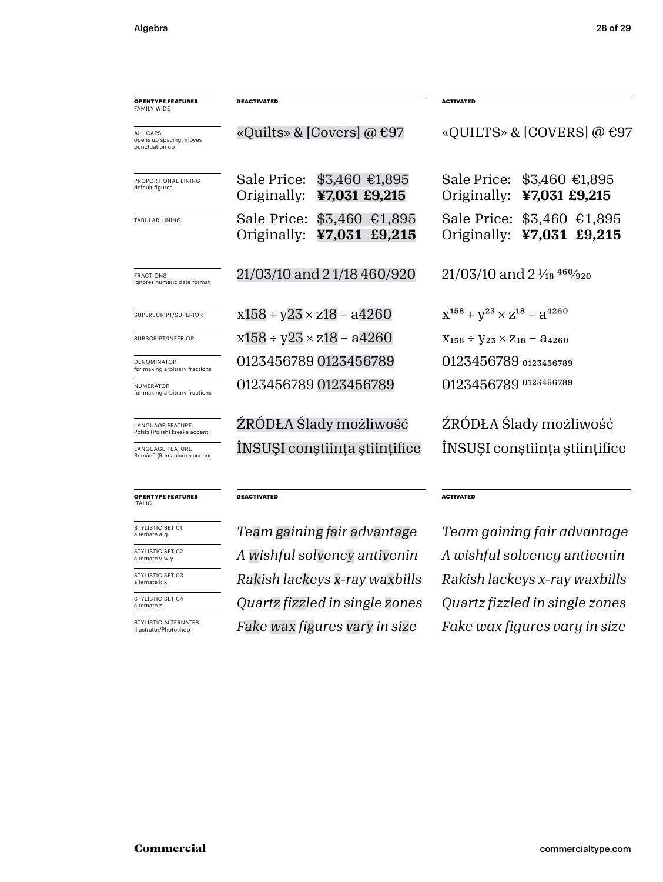| <b>OPENTYPE FEATURES</b><br><b>FAMILY WIDE</b>               | <b>DEACTIVATED</b>                                         | <b>ACTIVATED</b>                                        |
|--------------------------------------------------------------|------------------------------------------------------------|---------------------------------------------------------|
| <b>ALL CAPS</b><br>opens up spacing, moves<br>punctuation up | «Quilts» & [Covers] @ $\epsilon$ 97                        | «QUILTS» & [COVERS] @ €97                               |
| PROPORTIONAL LINING<br>default figures                       | Sale Price: \$3,460 €1,895<br>Originally:<br>¥7,031 £9,215 | Sale Price: \$3,460 €1,895<br>Originally: ¥7,031 £9,215 |
| <b>TABULAR LINING</b>                                        | Sale Price: \$3,460 €1,895<br>Originally: ¥7,031 £9,215    | Sale Price: \$3,460 €1,895<br>Originally: ¥7,031 £9,215 |
| <b>FRACTIONS</b><br>ignores numeric date format              | 21/03/10 and 21/18 460/920                                 | $21/03/10$ and $2\frac{1}{18}$ $460/920$                |
| SUPERSCRIPT/SUPERIOR                                         | $x158 + y23 \times z18 - a4260$                            | $X^{158} + V^{23} \times Z^{18} - 3^{4260}$             |
| SUBSCRIPT/INFERIOR                                           | $x158 \div y23 \times z18 - a4260$                         | $X_{158} \div Y_{23} \times Z_{18} - A_{4260}$          |
| <b>DENOMINATOR</b><br>for making arbitrary fractions         | 0123456789 0123456789                                      | 0123456789 0123456789                                   |
| <b>NUMERATOR</b><br>for making arbitrary fractions           | 0123456789 0123456789                                      | 0123456789 0123456789                                   |
| <b>LANGUAGE FEATURE</b><br>Polski (Polish) kreska accent     | ŹRÓDŁA Ślady możliwość                                     | ŹRÓDŁA Ślady możliwość                                  |
| <b>LANGUAGE FEATURE</b><br>Română (Romanian) s accent        | INSUSI constiința științifice                              | ÎNSUȘI conștiința științifice                           |
| <b>OPENTYPE FEATURES</b><br><b>ITALIC</b>                    | <b>DEACTIVATED</b>                                         | <b>ACTIVATED</b>                                        |

STYLISTIC SET 01 alternate a g

STYLISTIC SET 03 alternate k x STYLISTIC SET 02 alternate v w y

STYLISTIC SET 04 alternate z

STYLISTIC ALTERNATES Illustrator/Photoshop

*Rakish lackeys x-ray waxbills Quartz fizzled in single zones Quartz fizzled in single zones A wishful solvency antivenin A wishful solvency antivenin*

*Team gaining fair advantage Team gaining fair advantage Rakish lackeys x-ray waxbills Fake wax figures vary in size Fake wax figures vary in size*